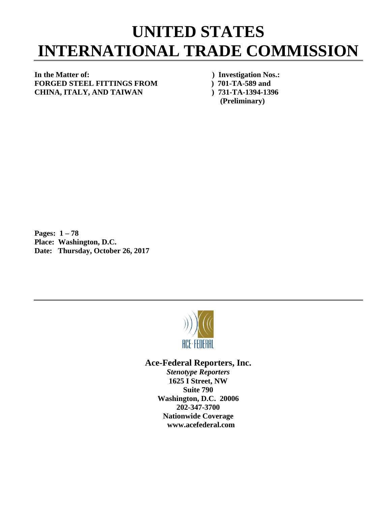## **UNITED STATES INTERNATIONAL TRADE COMMISSION**

## **In the Matter of: ) Investigation Nos.: FORGED STEEL FITTINGS FROM ) 701-TA-589 and CHINA, ITALY, AND TAIWAN ) 731-TA-1394-1396**

**(Preliminary)**

**Pages: 1 – 78 Place: Washington, D.C. Date: Thursday, October 26, 2017**



## **Ace-Federal Reporters, Inc.**

*Stenotype Reporters* **1625 I Street, NW Suite 790 Washington, D.C. 20006 202-347-3700 Nationwide Coverage www.acefederal.com**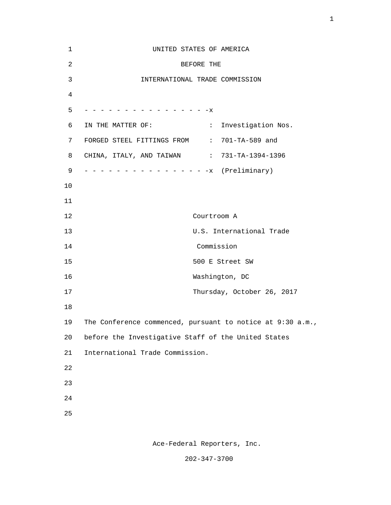| 1              | UNITED STATES OF AMERICA                                           |
|----------------|--------------------------------------------------------------------|
| $\overline{c}$ | BEFORE THE                                                         |
| 3              | INTERNATIONAL TRADE COMMISSION                                     |
| 4              |                                                                    |
| 5              | - - - - - - - - - - - - - - X                                      |
| 6              | IN THE MATTER OF:<br>$\mathbb{Z}^{\times}$ .<br>Investigation Nos. |
| 7              | FORGED STEEL FITTINGS FROM : 701-TA-589 and                        |
| 8              | CHINA, ITALY, AND TAIWAN : 731-TA-1394-1396                        |
| 9              |                                                                    |
| 10             |                                                                    |
| 11             |                                                                    |
| 12             | Courtroom A                                                        |
| 13             | U.S. International Trade                                           |
| 14             | Commission                                                         |
| 15             | 500 E Street SW                                                    |
| 16             | Washington, DC                                                     |
| 17             | Thursday, October 26, 2017                                         |
| 18             |                                                                    |
| 19             | The Conference commenced, pursuant to notice at 9:30 a.m.,         |
| 20             | before the Investigative Staff of the United States                |
| 21             | International Trade Commission.                                    |
| 22             |                                                                    |
| 23             |                                                                    |
| 24             |                                                                    |
| 25             |                                                                    |
|                |                                                                    |

1

Ace-Federal Reporters, Inc.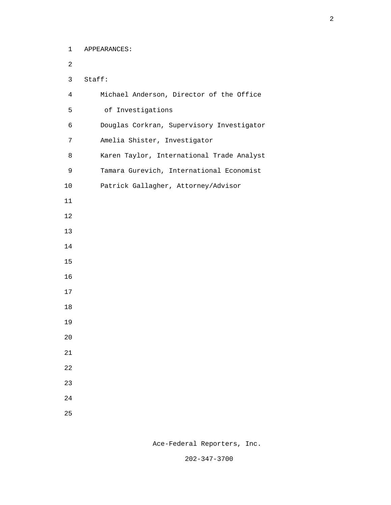1 APPEARANCES:

 2 3 Staff: 4 Michael Anderson, Director of the Office 5 of Investigations 6 Douglas Corkran, Supervisory Investigator 7 Amelia Shister, Investigator 8 Karen Taylor, International Trade Analyst 9 Tamara Gurevich, International Economist 10 Patrick Gallagher, Attorney/Advisor 11  $12$  13 14 15 16 17 18 19 20 21 22 23 24 25

Ace-Federal Reporters, Inc.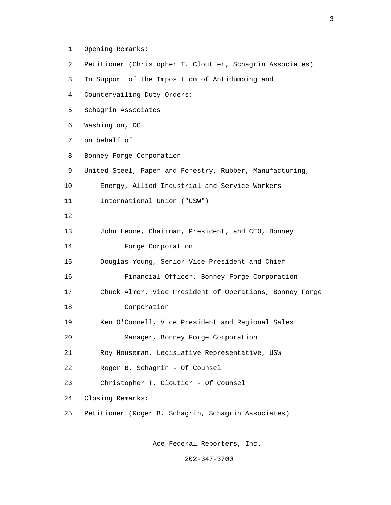- 1 Opening Remarks:
- 2 Petitioner (Christopher T. Cloutier, Schagrin Associates)
- 3 In Support of the Imposition of Antidumping and
- 4 Countervailing Duty Orders:
- 5 Schagrin Associates
- 6 Washington, DC
- 7 on behalf of
- 8 Bonney Forge Corporation
- 9 United Steel, Paper and Forestry, Rubber, Manufacturing,
- 10 Energy, Allied Industrial and Service Workers
- 11 International Union ("USW")
- $12$ 
	- 13 John Leone, Chairman, President, and CEO, Bonney 14 Forge Corporation
	- 15 Douglas Young, Senior Vice President and Chief 16 Financial Officer, Bonney Forge Corporation
	- 17 Chuck Almer, Vice President of Operations, Bonney Forge
	- 18 Corporation
	- 19 Ken O'Connell, Vice President and Regional Sales
	- 20 Manager, Bonney Forge Corporation
	- 21 Roy Houseman, Legislative Representative, USW
	- 22 Roger B. Schagrin Of Counsel
	- 23 Christopher T. Cloutier Of Counsel
	- 24 Closing Remarks:
	- 25 Petitioner (Roger B. Schagrin, Schagrin Associates)

Ace-Federal Reporters, Inc.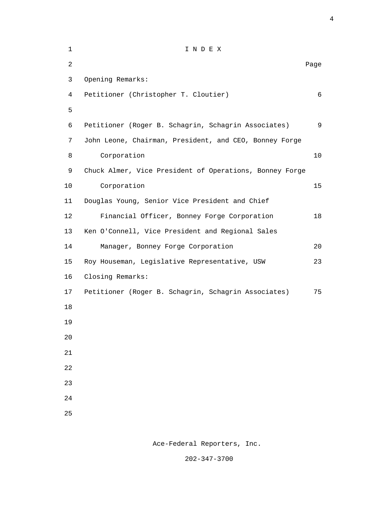| $\mathbf 1$    | INDEX                                                   |            |
|----------------|---------------------------------------------------------|------------|
| $\overline{c}$ |                                                         | Page       |
| 3              | Opening Remarks:                                        |            |
| 4              | Petitioner (Christopher T. Cloutier)                    | $\epsilon$ |
| 5              |                                                         |            |
| 6              | Petitioner (Roger B. Schagrin, Schagrin Associates)     | 9          |
| 7              | John Leone, Chairman, President, and CEO, Bonney Forge  |            |
| 8              | Corporation                                             | $10$       |
| 9              | Chuck Almer, Vice President of Operations, Bonney Forge |            |
| 10             | Corporation                                             | 15         |
| 11             | Douglas Young, Senior Vice President and Chief          |            |
| 12             | Financial Officer, Bonney Forge Corporation             | 18         |
| 13             | Ken O'Connell, Vice President and Regional Sales        |            |
| 14             | Manager, Bonney Forge Corporation                       | 20         |
| 15             | Roy Houseman, Legislative Representative, USW           | 23         |
| 16             | Closing Remarks:                                        |            |
| 17             | Petitioner (Roger B. Schagrin, Schagrin Associates)     | 75         |
| 18             |                                                         |            |
| 19             |                                                         |            |
| $20$           |                                                         |            |
| 21             |                                                         |            |
| 22             |                                                         |            |
| 23             |                                                         |            |
| 24             |                                                         |            |
| 25             |                                                         |            |
|                |                                                         |            |

4

Ace-Federal Reporters, Inc.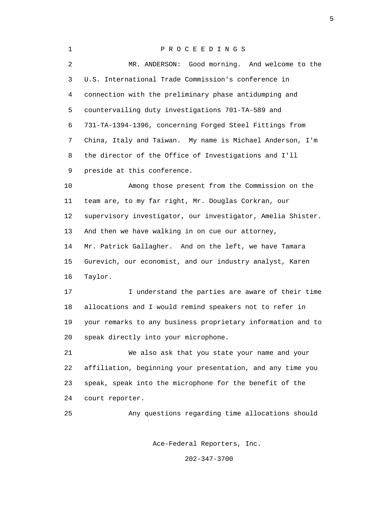1 P R O C E E D I N G S 2 MR. ANDERSON: Good morning. And welcome to the 3 U.S. International Trade Commission's conference in 4 connection with the preliminary phase antidumping and 5 countervailing duty investigations 701-TA-589 and 6 731-TA-1394-1396, concerning Forged Steel Fittings from 7 China, Italy and Taiwan. My name is Michael Anderson, I'm 8 the director of the Office of Investigations and I'll 9 preside at this conference. 10 Among those present from the Commission on the 11 team are, to my far right, Mr. Douglas Corkran, our 12 supervisory investigator, our investigator, Amelia Shister. 13 And then we have walking in on cue our attorney, 14 Mr. Patrick Gallagher. And on the left, we have Tamara 15 Gurevich, our economist, and our industry analyst, Karen 16 Taylor. 17 I understand the parties are aware of their time 18 allocations and I would remind speakers not to refer in 19 your remarks to any business proprietary information and to 20 speak directly into your microphone. 21 We also ask that you state your name and your 22 affiliation, beginning your presentation, and any time you 23 speak, speak into the microphone for the benefit of the 24 court reporter. 25 Any questions regarding time allocations should Ace-Federal Reporters, Inc.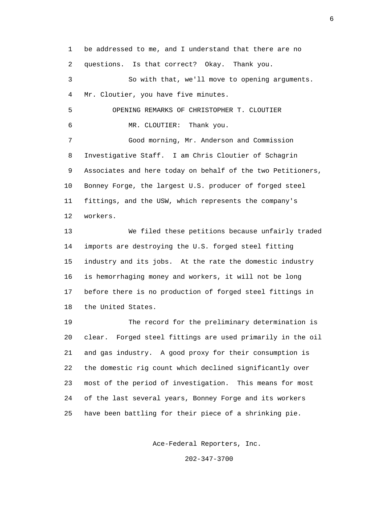1 be addressed to me, and I understand that there are no 2 questions. Is that correct? Okay. Thank you. 3 So with that, we'll move to opening arguments. 4 Mr. Cloutier, you have five minutes. 5 OPENING REMARKS OF CHRISTOPHER T. CLOUTIER 6 MR. CLOUTIER: Thank you. 7 Good morning, Mr. Anderson and Commission 8 Investigative Staff. I am Chris Cloutier of Schagrin 9 Associates and here today on behalf of the two Petitioners, 10 Bonney Forge, the largest U.S. producer of forged steel 11 fittings, and the USW, which represents the company's 12 workers. 13 We filed these petitions because unfairly traded 14 imports are destroying the U.S. forged steel fitting 15 industry and its jobs. At the rate the domestic industry 16 is hemorrhaging money and workers, it will not be long 17 before there is no production of forged steel fittings in 18 the United States.

 19 The record for the preliminary determination is 20 clear. Forged steel fittings are used primarily in the oil 21 and gas industry. A good proxy for their consumption is 22 the domestic rig count which declined significantly over 23 most of the period of investigation. This means for most 24 of the last several years, Bonney Forge and its workers 25 have been battling for their piece of a shrinking pie.

Ace-Federal Reporters, Inc.

202-347-3700

 $\sim$  6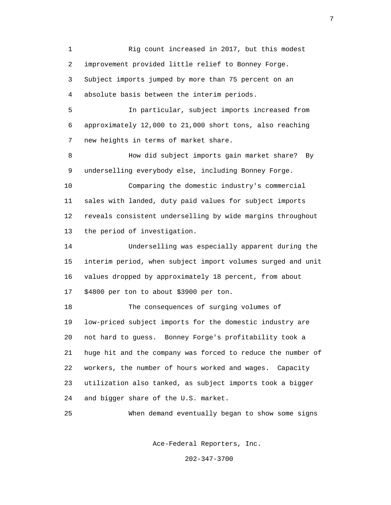1 Rig count increased in 2017, but this modest 2 improvement provided little relief to Bonney Forge. 3 Subject imports jumped by more than 75 percent on an 4 absolute basis between the interim periods. 5 In particular, subject imports increased from

 6 approximately 12,000 to 21,000 short tons, also reaching 7 new heights in terms of market share.

 8 How did subject imports gain market share? By 9 underselling everybody else, including Bonney Forge.

 10 Comparing the domestic industry's commercial 11 sales with landed, duty paid values for subject imports 12 reveals consistent underselling by wide margins throughout 13 the period of investigation.

 14 Underselling was especially apparent during the 15 interim period, when subject import volumes surged and unit 16 values dropped by approximately 18 percent, from about 17 \$4800 per ton to about \$3900 per ton.

 18 The consequences of surging volumes of 19 low-priced subject imports for the domestic industry are 20 not hard to guess. Bonney Forge's profitability took a 21 huge hit and the company was forced to reduce the number of 22 workers, the number of hours worked and wages. Capacity 23 utilization also tanked, as subject imports took a bigger 24 and bigger share of the U.S. market.

25 When demand eventually began to show some signs

Ace-Federal Reporters, Inc.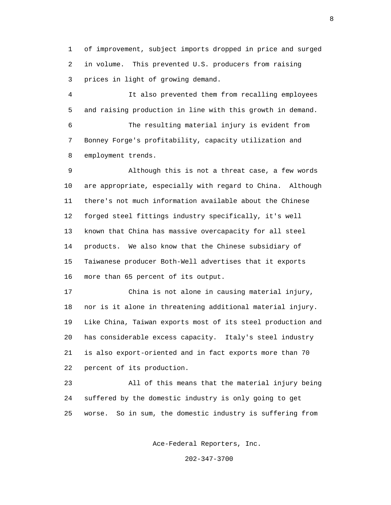1 of improvement, subject imports dropped in price and surged 2 in volume. This prevented U.S. producers from raising 3 prices in light of growing demand.

 4 It also prevented them from recalling employees 5 and raising production in line with this growth in demand. 6 The resulting material injury is evident from 7 Bonney Forge's profitability, capacity utilization and 8 employment trends.

 9 Although this is not a threat case, a few words 10 are appropriate, especially with regard to China. Although 11 there's not much information available about the Chinese 12 forged steel fittings industry specifically, it's well 13 known that China has massive overcapacity for all steel 14 products. We also know that the Chinese subsidiary of 15 Taiwanese producer Both-Well advertises that it exports 16 more than 65 percent of its output.

 17 China is not alone in causing material injury, 18 nor is it alone in threatening additional material injury. 19 Like China, Taiwan exports most of its steel production and 20 has considerable excess capacity. Italy's steel industry 21 is also export-oriented and in fact exports more than 70 22 percent of its production.

 23 All of this means that the material injury being 24 suffered by the domestic industry is only going to get 25 worse. So in sum, the domestic industry is suffering from

Ace-Federal Reporters, Inc.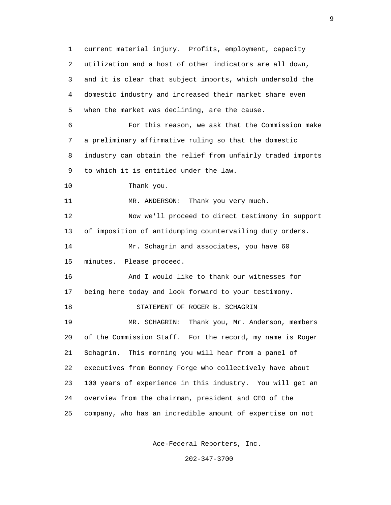1 current material injury. Profits, employment, capacity 2 utilization and a host of other indicators are all down, 3 and it is clear that subject imports, which undersold the 4 domestic industry and increased their market share even 5 when the market was declining, are the cause. 6 For this reason, we ask that the Commission make 7 a preliminary affirmative ruling so that the domestic 8 industry can obtain the relief from unfairly traded imports 9 to which it is entitled under the law. 10 Thank you. 11 MR. ANDERSON: Thank you very much. 12 Now we'll proceed to direct testimony in support 13 of imposition of antidumping countervailing duty orders. 14 Mr. Schagrin and associates, you have 60 15 minutes. Please proceed. 16 And I would like to thank our witnesses for 17 being here today and look forward to your testimony. 18 STATEMENT OF ROGER B. SCHAGRIN 19 MR. SCHAGRIN: Thank you, Mr. Anderson, members 20 of the Commission Staff. For the record, my name is Roger 21 Schagrin. This morning you will hear from a panel of 22 executives from Bonney Forge who collectively have about 23 100 years of experience in this industry. You will get an 24 overview from the chairman, president and CEO of the 25 company, who has an incredible amount of expertise on not

Ace-Federal Reporters, Inc.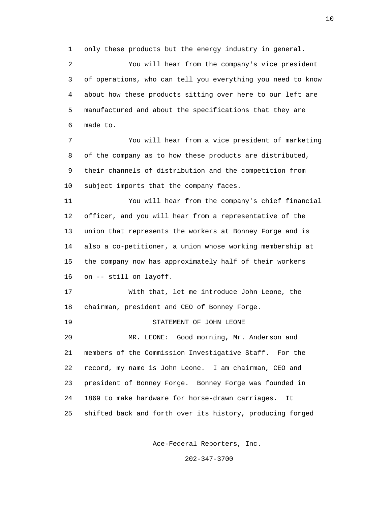1 only these products but the energy industry in general.

 2 You will hear from the company's vice president 3 of operations, who can tell you everything you need to know 4 about how these products sitting over here to our left are 5 manufactured and about the specifications that they are 6 made to.

 7 You will hear from a vice president of marketing 8 of the company as to how these products are distributed, 9 their channels of distribution and the competition from 10 subject imports that the company faces.

 11 You will hear from the company's chief financial 12 officer, and you will hear from a representative of the 13 union that represents the workers at Bonney Forge and is 14 also a co-petitioner, a union whose working membership at 15 the company now has approximately half of their workers 16 on -- still on layoff.

 17 With that, let me introduce John Leone, the 18 chairman, president and CEO of Bonney Forge.

19 STATEMENT OF JOHN LEONE

 20 MR. LEONE: Good morning, Mr. Anderson and 21 members of the Commission Investigative Staff. For the 22 record, my name is John Leone. I am chairman, CEO and 23 president of Bonney Forge. Bonney Forge was founded in 24 1869 to make hardware for horse-drawn carriages. It 25 shifted back and forth over its history, producing forged

Ace-Federal Reporters, Inc.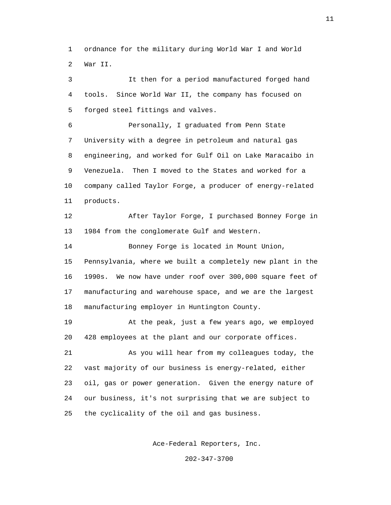1 ordnance for the military during World War I and World 2 War II.

 3 It then for a period manufactured forged hand 4 tools. Since World War II, the company has focused on 5 forged steel fittings and valves.

 6 Personally, I graduated from Penn State 7 University with a degree in petroleum and natural gas 8 engineering, and worked for Gulf Oil on Lake Maracaibo in 9 Venezuela. Then I moved to the States and worked for a 10 company called Taylor Forge, a producer of energy-related 11 products.

 12 After Taylor Forge, I purchased Bonney Forge in 13 1984 from the conglomerate Gulf and Western.

 14 Bonney Forge is located in Mount Union, 15 Pennsylvania, where we built a completely new plant in the 16 1990s. We now have under roof over 300,000 square feet of 17 manufacturing and warehouse space, and we are the largest 18 manufacturing employer in Huntington County.

 19 At the peak, just a few years ago, we employed 20 428 employees at the plant and our corporate offices.

 21 As you will hear from my colleagues today, the 22 vast majority of our business is energy-related, either 23 oil, gas or power generation. Given the energy nature of 24 our business, it's not surprising that we are subject to 25 the cyclicality of the oil and gas business.

Ace-Federal Reporters, Inc.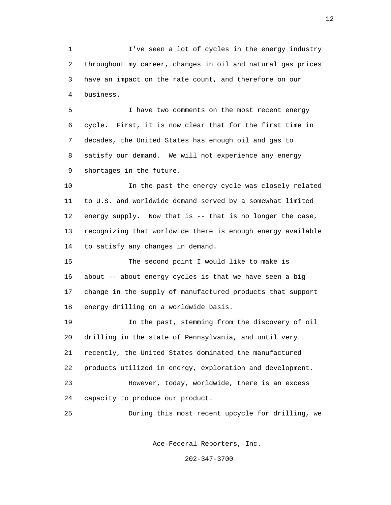1 I've seen a lot of cycles in the energy industry 2 throughout my career, changes in oil and natural gas prices 3 have an impact on the rate count, and therefore on our 4 business.

 5 I have two comments on the most recent energy 6 cycle. First, it is now clear that for the first time in 7 decades, the United States has enough oil and gas to 8 satisfy our demand. We will not experience any energy 9 shortages in the future.

 10 In the past the energy cycle was closely related 11 to U.S. and worldwide demand served by a somewhat limited 12 energy supply. Now that is -- that is no longer the case, 13 recognizing that worldwide there is enough energy available 14 to satisfy any changes in demand.

 15 The second point I would like to make is 16 about -- about energy cycles is that we have seen a big 17 change in the supply of manufactured products that support 18 energy drilling on a worldwide basis.

 19 In the past, stemming from the discovery of oil 20 drilling in the state of Pennsylvania, and until very 21 recently, the United States dominated the manufactured 22 products utilized in energy, exploration and development. 23 However, today, worldwide, there is an excess 24 capacity to produce our product.

25 During this most recent upcycle for drilling, we

Ace-Federal Reporters, Inc.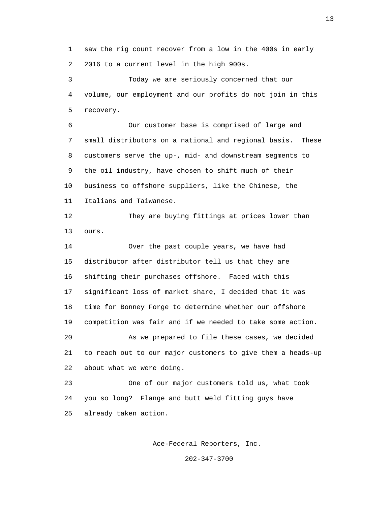1 saw the rig count recover from a low in the 400s in early 2 2016 to a current level in the high 900s.

 3 Today we are seriously concerned that our 4 volume, our employment and our profits do not join in this 5 recovery.

 6 Our customer base is comprised of large and 7 small distributors on a national and regional basis. These 8 customers serve the up-, mid- and downstream segments to 9 the oil industry, have chosen to shift much of their 10 business to offshore suppliers, like the Chinese, the 11 Italians and Taiwanese.

 12 They are buying fittings at prices lower than 13 ours.

 14 Over the past couple years, we have had 15 distributor after distributor tell us that they are 16 shifting their purchases offshore. Faced with this 17 significant loss of market share, I decided that it was 18 time for Bonney Forge to determine whether our offshore 19 competition was fair and if we needed to take some action. 20 As we prepared to file these cases, we decided 21 to reach out to our major customers to give them a heads-up 22 about what we were doing.

 23 One of our major customers told us, what took 24 you so long? Flange and butt weld fitting guys have 25 already taken action.

Ace-Federal Reporters, Inc.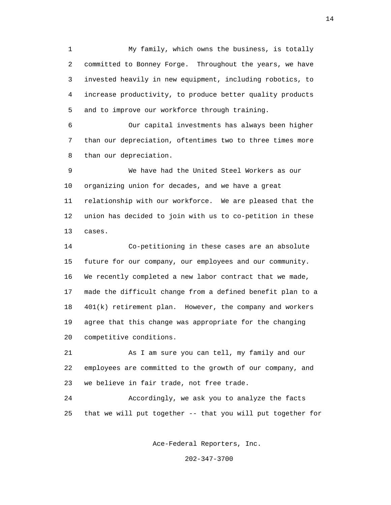1 My family, which owns the business, is totally 2 committed to Bonney Forge. Throughout the years, we have 3 invested heavily in new equipment, including robotics, to 4 increase productivity, to produce better quality products 5 and to improve our workforce through training.

 6 Our capital investments has always been higher 7 than our depreciation, oftentimes two to three times more 8 than our depreciation.

 9 We have had the United Steel Workers as our 10 organizing union for decades, and we have a great 11 relationship with our workforce. We are pleased that the 12 union has decided to join with us to co-petition in these 13 cases.

 14 Co-petitioning in these cases are an absolute 15 future for our company, our employees and our community. 16 We recently completed a new labor contract that we made, 17 made the difficult change from a defined benefit plan to a 18 401(k) retirement plan. However, the company and workers 19 agree that this change was appropriate for the changing 20 competitive conditions.

 21 As I am sure you can tell, my family and our 22 employees are committed to the growth of our company, and 23 we believe in fair trade, not free trade.

 24 Accordingly, we ask you to analyze the facts 25 that we will put together -- that you will put together for

Ace-Federal Reporters, Inc.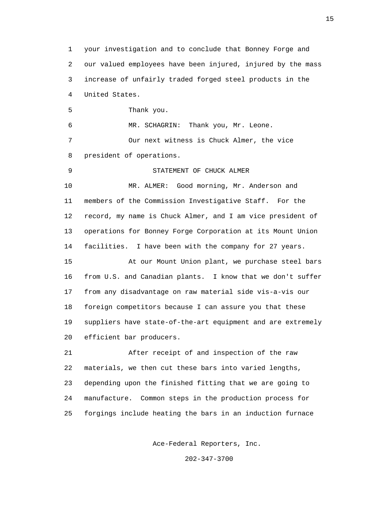1 your investigation and to conclude that Bonney Forge and 2 our valued employees have been injured, injured by the mass 3 increase of unfairly traded forged steel products in the 4 United States. 5 Thank you. 6 MR. SCHAGRIN: Thank you, Mr. Leone. 7 Our next witness is Chuck Almer, the vice 8 president of operations. 9 STATEMENT OF CHUCK ALMER 10 MR. ALMER: Good morning, Mr. Anderson and 11 members of the Commission Investigative Staff. For the 12 record, my name is Chuck Almer, and I am vice president of 13 operations for Bonney Forge Corporation at its Mount Union 14 facilities. I have been with the company for 27 years. 15 At our Mount Union plant, we purchase steel bars 16 from U.S. and Canadian plants. I know that we don't suffer 17 from any disadvantage on raw material side vis-a-vis our 18 foreign competitors because I can assure you that these 19 suppliers have state-of-the-art equipment and are extremely 20 efficient bar producers. 21 After receipt of and inspection of the raw 22 materials, we then cut these bars into varied lengths, 23 depending upon the finished fitting that we are going to 24 manufacture. Common steps in the production process for 25 forgings include heating the bars in an induction furnace

Ace-Federal Reporters, Inc.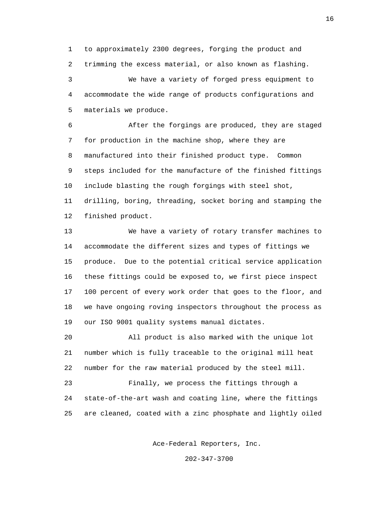1 to approximately 2300 degrees, forging the product and 2 trimming the excess material, or also known as flashing. 3 We have a variety of forged press equipment to 4 accommodate the wide range of products configurations and 5 materials we produce.

 6 After the forgings are produced, they are staged 7 for production in the machine shop, where they are 8 manufactured into their finished product type. Common 9 steps included for the manufacture of the finished fittings 10 include blasting the rough forgings with steel shot, 11 drilling, boring, threading, socket boring and stamping the 12 finished product.

 13 We have a variety of rotary transfer machines to 14 accommodate the different sizes and types of fittings we 15 produce. Due to the potential critical service application 16 these fittings could be exposed to, we first piece inspect 17 100 percent of every work order that goes to the floor, and 18 we have ongoing roving inspectors throughout the process as 19 our ISO 9001 quality systems manual dictates.

 20 All product is also marked with the unique lot 21 number which is fully traceable to the original mill heat 22 number for the raw material produced by the steel mill.

 23 Finally, we process the fittings through a 24 state-of-the-art wash and coating line, where the fittings 25 are cleaned, coated with a zinc phosphate and lightly oiled

Ace-Federal Reporters, Inc.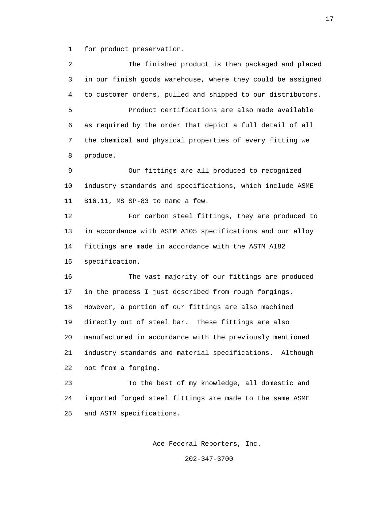1 for product preservation.

 2 The finished product is then packaged and placed 3 in our finish goods warehouse, where they could be assigned 4 to customer orders, pulled and shipped to our distributors. 5 Product certifications are also made available 6 as required by the order that depict a full detail of all 7 the chemical and physical properties of every fitting we 8 produce. 9 Our fittings are all produced to recognized 10 industry standards and specifications, which include ASME 11 B16.11, MS SP-83 to name a few. 12 For carbon steel fittings, they are produced to 13 in accordance with ASTM A105 specifications and our alloy 14 fittings are made in accordance with the ASTM A182 15 specification. 16 The vast majority of our fittings are produced 17 in the process I just described from rough forgings. 18 However, a portion of our fittings are also machined 19 directly out of steel bar. These fittings are also 20 manufactured in accordance with the previously mentioned 21 industry standards and material specifications. Although 22 not from a forging. 23 To the best of my knowledge, all domestic and 24 imported forged steel fittings are made to the same ASME 25 and ASTM specifications.

Ace-Federal Reporters, Inc.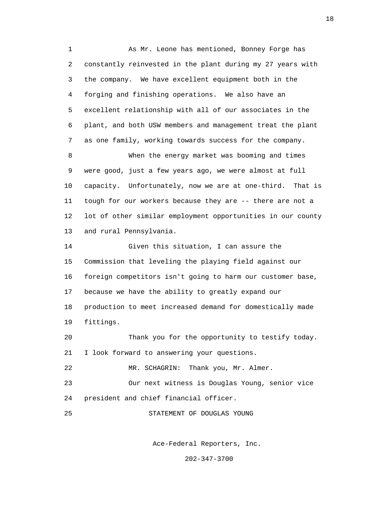1 As Mr. Leone has mentioned, Bonney Forge has 2 constantly reinvested in the plant during my 27 years with 3 the company. We have excellent equipment both in the 4 forging and finishing operations. We also have an 5 excellent relationship with all of our associates in the 6 plant, and both USW members and management treat the plant 7 as one family, working towards success for the company. 8 When the energy market was booming and times 9 were good, just a few years ago, we were almost at full 10 capacity. Unfortunately, now we are at one-third. That is 11 tough for our workers because they are -- there are not a 12 lot of other similar employment opportunities in our county 13 and rural Pennsylvania. 14 Given this situation, I can assure the 15 Commission that leveling the playing field against our 16 foreign competitors isn't going to harm our customer base, 17 because we have the ability to greatly expand our 18 production to meet increased demand for domestically made 19 fittings. 20 Thank you for the opportunity to testify today. 21 I look forward to answering your questions. 22 MR. SCHAGRIN: Thank you, Mr. Almer. 23 Our next witness is Douglas Young, senior vice 24 president and chief financial officer. 25 STATEMENT OF DOUGLAS YOUNG

Ace-Federal Reporters, Inc.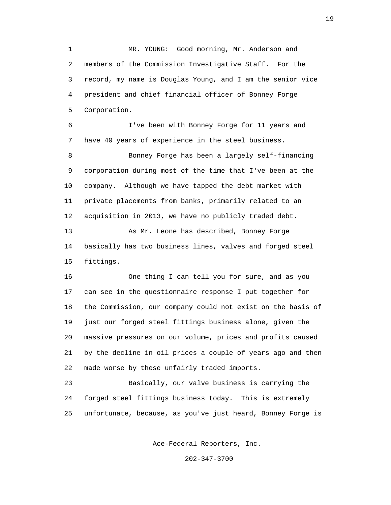1 MR. YOUNG: Good morning, Mr. Anderson and 2 members of the Commission Investigative Staff. For the 3 record, my name is Douglas Young, and I am the senior vice 4 president and chief financial officer of Bonney Forge 5 Corporation.

 6 I've been with Bonney Forge for 11 years and 7 have 40 years of experience in the steel business.

 8 Bonney Forge has been a largely self-financing 9 corporation during most of the time that I've been at the 10 company. Although we have tapped the debt market with 11 private placements from banks, primarily related to an 12 acquisition in 2013, we have no publicly traded debt.

 13 As Mr. Leone has described, Bonney Forge 14 basically has two business lines, valves and forged steel 15 fittings.

 16 One thing I can tell you for sure, and as you 17 can see in the questionnaire response I put together for 18 the Commission, our company could not exist on the basis of 19 just our forged steel fittings business alone, given the 20 massive pressures on our volume, prices and profits caused 21 by the decline in oil prices a couple of years ago and then 22 made worse by these unfairly traded imports.

 23 Basically, our valve business is carrying the 24 forged steel fittings business today. This is extremely 25 unfortunate, because, as you've just heard, Bonney Forge is

Ace-Federal Reporters, Inc.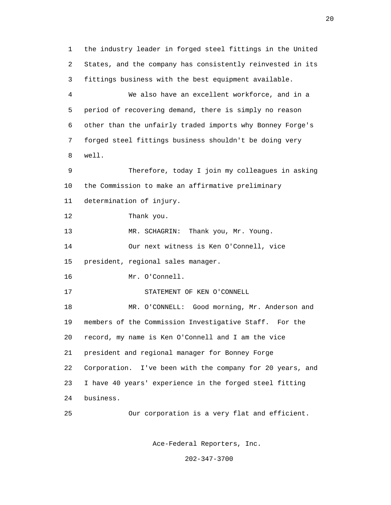1 the industry leader in forged steel fittings in the United 2 States, and the company has consistently reinvested in its 3 fittings business with the best equipment available. 4 We also have an excellent workforce, and in a 5 period of recovering demand, there is simply no reason 6 other than the unfairly traded imports why Bonney Forge's 7 forged steel fittings business shouldn't be doing very 8 well. 9 Therefore, today I join my colleagues in asking 10 the Commission to make an affirmative preliminary 11 determination of injury. 12 Thank you. 13 MR. SCHAGRIN: Thank you, Mr. Young. 14 Our next witness is Ken O'Connell, vice 15 president, regional sales manager. 16 Mr. O'Connell. 17 STATEMENT OF KEN O'CONNELL 18 MR. O'CONNELL: Good morning, Mr. Anderson and 19 members of the Commission Investigative Staff. For the 20 record, my name is Ken O'Connell and I am the vice 21 president and regional manager for Bonney Forge 22 Corporation. I've been with the company for 20 years, and 23 I have 40 years' experience in the forged steel fitting 24 business. 25 Our corporation is a very flat and efficient.

Ace-Federal Reporters, Inc.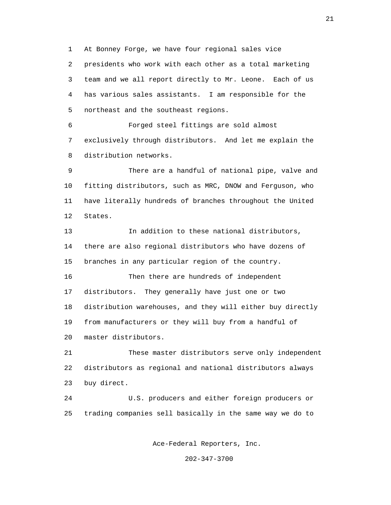1 At Bonney Forge, we have four regional sales vice 2 presidents who work with each other as a total marketing 3 team and we all report directly to Mr. Leone. Each of us 4 has various sales assistants. I am responsible for the 5 northeast and the southeast regions.

 6 Forged steel fittings are sold almost 7 exclusively through distributors. And let me explain the 8 distribution networks.

 9 There are a handful of national pipe, valve and 10 fitting distributors, such as MRC, DNOW and Ferguson, who 11 have literally hundreds of branches throughout the United 12 States.

 13 In addition to these national distributors, 14 there are also regional distributors who have dozens of 15 branches in any particular region of the country.

 16 Then there are hundreds of independent 17 distributors. They generally have just one or two 18 distribution warehouses, and they will either buy directly 19 from manufacturers or they will buy from a handful of 20 master distributors.

 21 These master distributors serve only independent 22 distributors as regional and national distributors always 23 buy direct.

 24 U.S. producers and either foreign producers or 25 trading companies sell basically in the same way we do to

Ace-Federal Reporters, Inc.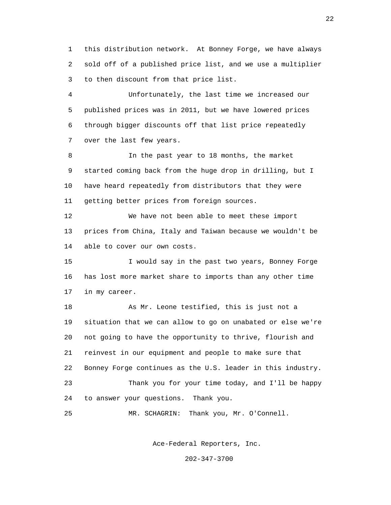1 this distribution network. At Bonney Forge, we have always 2 sold off of a published price list, and we use a multiplier 3 to then discount from that price list.

 4 Unfortunately, the last time we increased our 5 published prices was in 2011, but we have lowered prices 6 through bigger discounts off that list price repeatedly 7 over the last few years.

8 In the past year to 18 months, the market 9 started coming back from the huge drop in drilling, but I 10 have heard repeatedly from distributors that they were 11 getting better prices from foreign sources.

 12 We have not been able to meet these import 13 prices from China, Italy and Taiwan because we wouldn't be 14 able to cover our own costs.

 15 I would say in the past two years, Bonney Forge 16 has lost more market share to imports than any other time 17 in my career.

 18 As Mr. Leone testified, this is just not a 19 situation that we can allow to go on unabated or else we're 20 not going to have the opportunity to thrive, flourish and 21 reinvest in our equipment and people to make sure that 22 Bonney Forge continues as the U.S. leader in this industry. 23 Thank you for your time today, and I'll be happy 24 to answer your questions. Thank you.

25 MR. SCHAGRIN: Thank you, Mr. O'Connell.

Ace-Federal Reporters, Inc.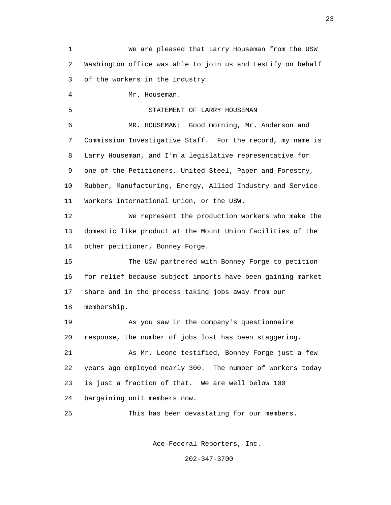1 We are pleased that Larry Houseman from the USW 2 Washington office was able to join us and testify on behalf 3 of the workers in the industry. 4 Mr. Houseman. 5 STATEMENT OF LARRY HOUSEMAN 6 MR. HOUSEMAN: Good morning, Mr. Anderson and 7 Commission Investigative Staff. For the record, my name is 8 Larry Houseman, and I'm a legislative representative for 9 one of the Petitioners, United Steel, Paper and Forestry, 10 Rubber, Manufacturing, Energy, Allied Industry and Service 11 Workers International Union, or the USW. 12 We represent the production workers who make the 13 domestic like product at the Mount Union facilities of the 14 other petitioner, Bonney Forge. 15 The USW partnered with Bonney Forge to petition 16 for relief because subject imports have been gaining market 17 share and in the process taking jobs away from our 18 membership. 19 As you saw in the company's questionnaire 20 response, the number of jobs lost has been staggering. 21 As Mr. Leone testified, Bonney Forge just a few 22 years ago employed nearly 300. The number of workers today 23 is just a fraction of that. We are well below 100 24 bargaining unit members now. 25 This has been devastating for our members.

Ace-Federal Reporters, Inc.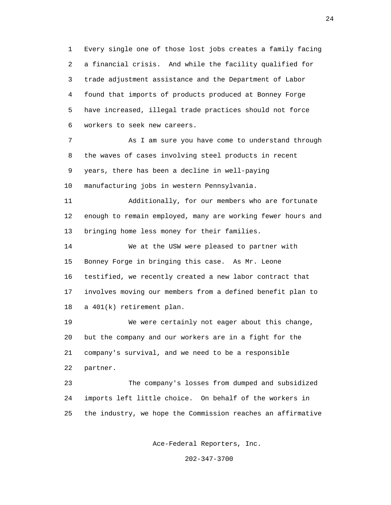1 Every single one of those lost jobs creates a family facing 2 a financial crisis. And while the facility qualified for 3 trade adjustment assistance and the Department of Labor 4 found that imports of products produced at Bonney Forge 5 have increased, illegal trade practices should not force 6 workers to seek new careers.

 7 As I am sure you have come to understand through 8 the waves of cases involving steel products in recent 9 years, there has been a decline in well-paying 10 manufacturing jobs in western Pennsylvania.

 11 Additionally, for our members who are fortunate 12 enough to remain employed, many are working fewer hours and 13 bringing home less money for their families.

 14 We at the USW were pleased to partner with 15 Bonney Forge in bringing this case. As Mr. Leone 16 testified, we recently created a new labor contract that 17 involves moving our members from a defined benefit plan to 18 a 401(k) retirement plan.

 19 We were certainly not eager about this change, 20 but the company and our workers are in a fight for the 21 company's survival, and we need to be a responsible 22 partner.

 23 The company's losses from dumped and subsidized 24 imports left little choice. On behalf of the workers in 25 the industry, we hope the Commission reaches an affirmative

Ace-Federal Reporters, Inc.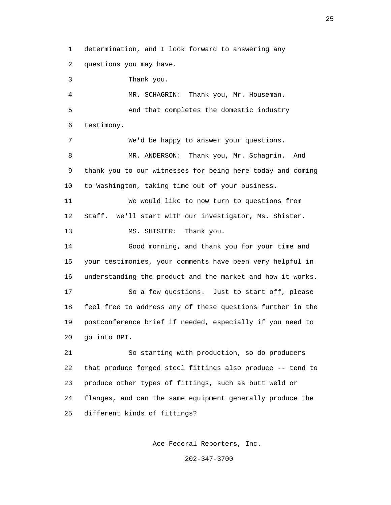1 determination, and I look forward to answering any 2 questions you may have.

 3 Thank you. 4 MR. SCHAGRIN: Thank you, Mr. Houseman. 5 And that completes the domestic industry 6 testimony. 7 We'd be happy to answer your questions. 8 MR. ANDERSON: Thank you, Mr. Schagrin. And 9 thank you to our witnesses for being here today and coming 10 to Washington, taking time out of your business. 11 We would like to now turn to questions from 12 Staff. We'll start with our investigator, Ms. Shister. 13 MS. SHISTER: Thank you. 14 Good morning, and thank you for your time and 15 your testimonies, your comments have been very helpful in 16 understanding the product and the market and how it works. 17 So a few questions. Just to start off, please 18 feel free to address any of these questions further in the 19 postconference brief if needed, especially if you need to 20 go into BPI. 21 So starting with production, so do producers 22 that produce forged steel fittings also produce -- tend to 23 produce other types of fittings, such as butt weld or

 24 flanges, and can the same equipment generally produce the 25 different kinds of fittings?

Ace-Federal Reporters, Inc.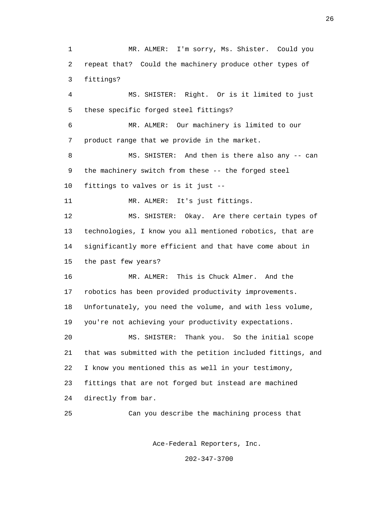1 MR. ALMER: I'm sorry, Ms. Shister. Could you 2 repeat that? Could the machinery produce other types of 3 fittings? 4 MS. SHISTER: Right. Or is it limited to just 5 these specific forged steel fittings? 6 MR. ALMER: Our machinery is limited to our 7 product range that we provide in the market. 8 MS. SHISTER: And then is there also any -- can 9 the machinery switch from these -- the forged steel 10 fittings to valves or is it just -- 11 MR. ALMER: It's just fittings. 12 MS. SHISTER: Okay. Are there certain types of 13 technologies, I know you all mentioned robotics, that are 14 significantly more efficient and that have come about in 15 the past few years? 16 MR. ALMER: This is Chuck Almer. And the 17 robotics has been provided productivity improvements. 18 Unfortunately, you need the volume, and with less volume, 19 you're not achieving your productivity expectations. 20 MS. SHISTER: Thank you. So the initial scope 21 that was submitted with the petition included fittings, and 22 I know you mentioned this as well in your testimony, 23 fittings that are not forged but instead are machined 24 directly from bar. 25 Can you describe the machining process that

Ace-Federal Reporters, Inc.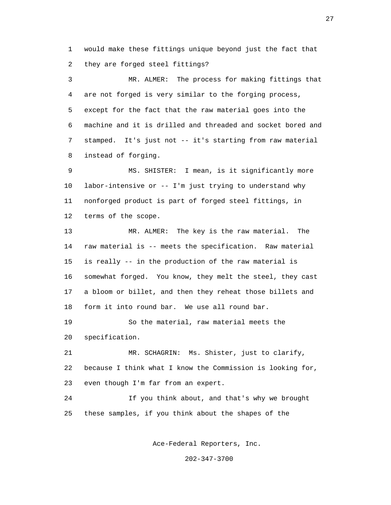1 would make these fittings unique beyond just the fact that 2 they are forged steel fittings?

 3 MR. ALMER: The process for making fittings that 4 are not forged is very similar to the forging process, 5 except for the fact that the raw material goes into the 6 machine and it is drilled and threaded and socket bored and 7 stamped. It's just not -- it's starting from raw material 8 instead of forging.

 9 MS. SHISTER: I mean, is it significantly more 10 labor-intensive or -- I'm just trying to understand why 11 nonforged product is part of forged steel fittings, in 12 terms of the scope.

 13 MR. ALMER: The key is the raw material. The 14 raw material is -- meets the specification. Raw material 15 is really -- in the production of the raw material is 16 somewhat forged. You know, they melt the steel, they cast 17 a bloom or billet, and then they reheat those billets and 18 form it into round bar. We use all round bar.

 19 So the material, raw material meets the 20 specification.

 21 MR. SCHAGRIN: Ms. Shister, just to clarify, 22 because I think what I know the Commission is looking for, 23 even though I'm far from an expert.

 24 If you think about, and that's why we brought 25 these samples, if you think about the shapes of the

Ace-Federal Reporters, Inc.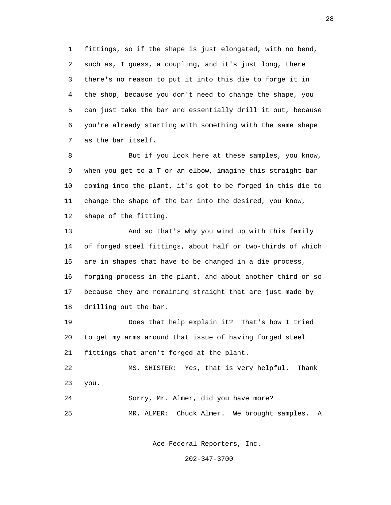1 fittings, so if the shape is just elongated, with no bend, 2 such as, I guess, a coupling, and it's just long, there 3 there's no reason to put it into this die to forge it in 4 the shop, because you don't need to change the shape, you 5 can just take the bar and essentially drill it out, because 6 you're already starting with something with the same shape 7 as the bar itself.

8 But if you look here at these samples, you know, 9 when you get to a T or an elbow, imagine this straight bar 10 coming into the plant, it's got to be forged in this die to 11 change the shape of the bar into the desired, you know, 12 shape of the fitting.

 13 And so that's why you wind up with this family 14 of forged steel fittings, about half or two-thirds of which 15 are in shapes that have to be changed in a die process, 16 forging process in the plant, and about another third or so 17 because they are remaining straight that are just made by 18 drilling out the bar.

 19 Does that help explain it? That's how I tried 20 to get my arms around that issue of having forged steel 21 fittings that aren't forged at the plant.

 22 MS. SHISTER: Yes, that is very helpful. Thank 23 you.

24 Sorry, Mr. Almer, did you have more?

25 MR. ALMER: Chuck Almer. We brought samples. A

Ace-Federal Reporters, Inc.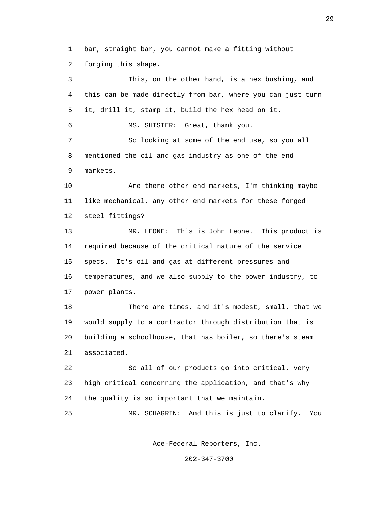1 bar, straight bar, you cannot make a fitting without 2 forging this shape.

 3 This, on the other hand, is a hex bushing, and 4 this can be made directly from bar, where you can just turn 5 it, drill it, stamp it, build the hex head on it. 6 MS. SHISTER: Great, thank you. 7 So looking at some of the end use, so you all 8 mentioned the oil and gas industry as one of the end 9 markets. 10 Are there other end markets, I'm thinking maybe 11 like mechanical, any other end markets for these forged 12 steel fittings? 13 MR. LEONE: This is John Leone. This product is 14 required because of the critical nature of the service 15 specs. It's oil and gas at different pressures and 16 temperatures, and we also supply to the power industry, to 17 power plants. 18 There are times, and it's modest, small, that we 19 would supply to a contractor through distribution that is 20 building a schoolhouse, that has boiler, so there's steam 21 associated. 22 So all of our products go into critical, very 23 high critical concerning the application, and that's why 24 the quality is so important that we maintain. 25 MR. SCHAGRIN: And this is just to clarify. You

Ace-Federal Reporters, Inc.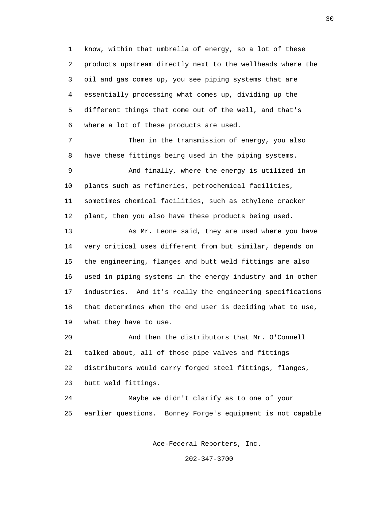1 know, within that umbrella of energy, so a lot of these 2 products upstream directly next to the wellheads where the 3 oil and gas comes up, you see piping systems that are 4 essentially processing what comes up, dividing up the 5 different things that come out of the well, and that's 6 where a lot of these products are used.

 7 Then in the transmission of energy, you also 8 have these fittings being used in the piping systems.

 9 And finally, where the energy is utilized in 10 plants such as refineries, petrochemical facilities, 11 sometimes chemical facilities, such as ethylene cracker 12 plant, then you also have these products being used.

 13 As Mr. Leone said, they are used where you have 14 very critical uses different from but similar, depends on 15 the engineering, flanges and butt weld fittings are also 16 used in piping systems in the energy industry and in other 17 industries. And it's really the engineering specifications 18 that determines when the end user is deciding what to use, 19 what they have to use.

 20 And then the distributors that Mr. O'Connell 21 talked about, all of those pipe valves and fittings 22 distributors would carry forged steel fittings, flanges, 23 butt weld fittings.

 24 Maybe we didn't clarify as to one of your 25 earlier questions. Bonney Forge's equipment is not capable

Ace-Federal Reporters, Inc.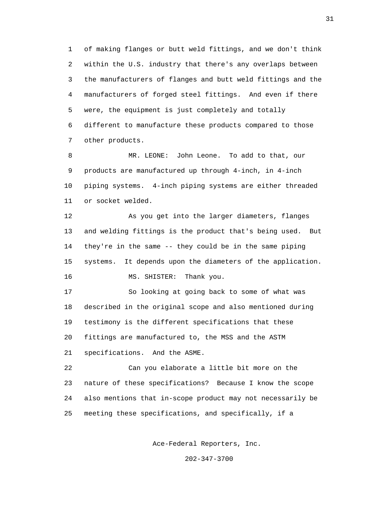1 of making flanges or butt weld fittings, and we don't think 2 within the U.S. industry that there's any overlaps between 3 the manufacturers of flanges and butt weld fittings and the 4 manufacturers of forged steel fittings. And even if there 5 were, the equipment is just completely and totally 6 different to manufacture these products compared to those 7 other products.

 8 MR. LEONE: John Leone. To add to that, our 9 products are manufactured up through 4-inch, in 4-inch 10 piping systems. 4-inch piping systems are either threaded 11 or socket welded.

 12 As you get into the larger diameters, flanges 13 and welding fittings is the product that's being used. But 14 they're in the same -- they could be in the same piping 15 systems. It depends upon the diameters of the application. 16 MS. SHISTER: Thank you.

 17 So looking at going back to some of what was 18 described in the original scope and also mentioned during 19 testimony is the different specifications that these 20 fittings are manufactured to, the MSS and the ASTM 21 specifications. And the ASME.

 22 Can you elaborate a little bit more on the 23 nature of these specifications? Because I know the scope 24 also mentions that in-scope product may not necessarily be 25 meeting these specifications, and specifically, if a

Ace-Federal Reporters, Inc.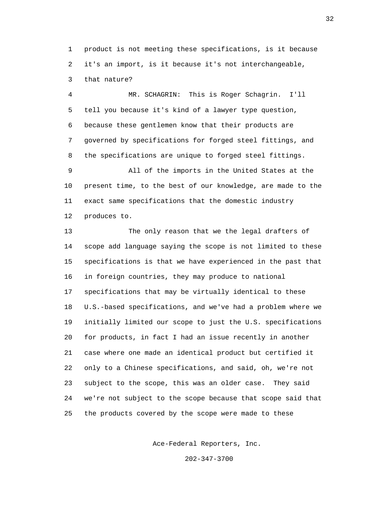1 product is not meeting these specifications, is it because 2 it's an import, is it because it's not interchangeable, 3 that nature?

 4 MR. SCHAGRIN: This is Roger Schagrin. I'll 5 tell you because it's kind of a lawyer type question, 6 because these gentlemen know that their products are 7 governed by specifications for forged steel fittings, and 8 the specifications are unique to forged steel fittings.

 9 All of the imports in the United States at the 10 present time, to the best of our knowledge, are made to the 11 exact same specifications that the domestic industry 12 produces to.

 13 The only reason that we the legal drafters of 14 scope add language saying the scope is not limited to these 15 specifications is that we have experienced in the past that 16 in foreign countries, they may produce to national 17 specifications that may be virtually identical to these 18 U.S.-based specifications, and we've had a problem where we 19 initially limited our scope to just the U.S. specifications 20 for products, in fact I had an issue recently in another 21 case where one made an identical product but certified it 22 only to a Chinese specifications, and said, oh, we're not 23 subject to the scope, this was an older case. They said 24 we're not subject to the scope because that scope said that 25 the products covered by the scope were made to these

Ace-Federal Reporters, Inc.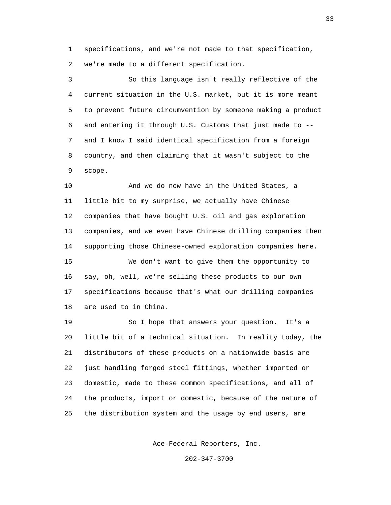1 specifications, and we're not made to that specification, 2 we're made to a different specification.

 3 So this language isn't really reflective of the 4 current situation in the U.S. market, but it is more meant 5 to prevent future circumvention by someone making a product 6 and entering it through U.S. Customs that just made to -- 7 and I know I said identical specification from a foreign 8 country, and then claiming that it wasn't subject to the 9 scope.

 10 And we do now have in the United States, a 11 little bit to my surprise, we actually have Chinese 12 companies that have bought U.S. oil and gas exploration 13 companies, and we even have Chinese drilling companies then 14 supporting those Chinese-owned exploration companies here. 15 We don't want to give them the opportunity to 16 say, oh, well, we're selling these products to our own 17 specifications because that's what our drilling companies 18 are used to in China.

 19 So I hope that answers your question. It's a 20 little bit of a technical situation. In reality today, the 21 distributors of these products on a nationwide basis are 22 just handling forged steel fittings, whether imported or 23 domestic, made to these common specifications, and all of 24 the products, import or domestic, because of the nature of 25 the distribution system and the usage by end users, are

Ace-Federal Reporters, Inc.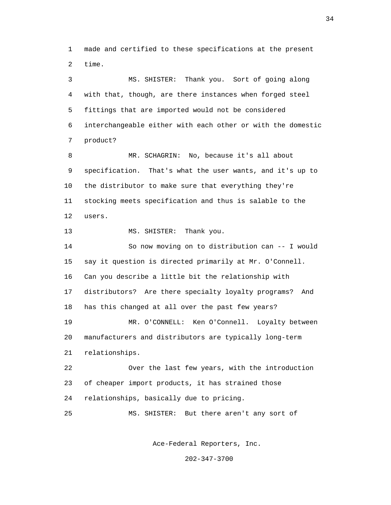1 made and certified to these specifications at the present 2 time.

 3 MS. SHISTER: Thank you. Sort of going along 4 with that, though, are there instances when forged steel 5 fittings that are imported would not be considered 6 interchangeable either with each other or with the domestic 7 product? 8 MR. SCHAGRIN: No, because it's all about 9 specification. That's what the user wants, and it's up to 10 the distributor to make sure that everything they're 11 stocking meets specification and thus is salable to the

12 users.

13 MS. SHISTER: Thank you.

 14 So now moving on to distribution can -- I would 15 say it question is directed primarily at Mr. O'Connell. 16 Can you describe a little bit the relationship with 17 distributors? Are there specialty loyalty programs? And 18 has this changed at all over the past few years? 19 MR. O'CONNELL: Ken O'Connell. Loyalty between 20 manufacturers and distributors are typically long-term 21 relationships.

 22 Over the last few years, with the introduction 23 of cheaper import products, it has strained those 24 relationships, basically due to pricing.

25 MS. SHISTER: But there aren't any sort of

Ace-Federal Reporters, Inc.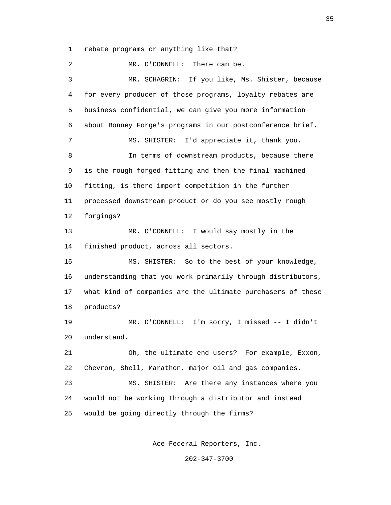1 rebate programs or anything like that?

 2 MR. O'CONNELL: There can be. 3 MR. SCHAGRIN: If you like, Ms. Shister, because 4 for every producer of those programs, loyalty rebates are 5 business confidential, we can give you more information 6 about Bonney Forge's programs in our postconference brief. 7 MS. SHISTER: I'd appreciate it, thank you. 8 In terms of downstream products, because there 9 is the rough forged fitting and then the final machined 10 fitting, is there import competition in the further 11 processed downstream product or do you see mostly rough 12 forgings? 13 MR. O'CONNELL: I would say mostly in the 14 finished product, across all sectors. 15 MS. SHISTER: So to the best of your knowledge, 16 understanding that you work primarily through distributors, 17 what kind of companies are the ultimate purchasers of these 18 products? 19 MR. O'CONNELL: I'm sorry, I missed -- I didn't 20 understand. 21 Oh, the ultimate end users? For example, Exxon, 22 Chevron, Shell, Marathon, major oil and gas companies. 23 MS. SHISTER: Are there any instances where you 24 would not be working through a distributor and instead 25 would be going directly through the firms?

Ace-Federal Reporters, Inc.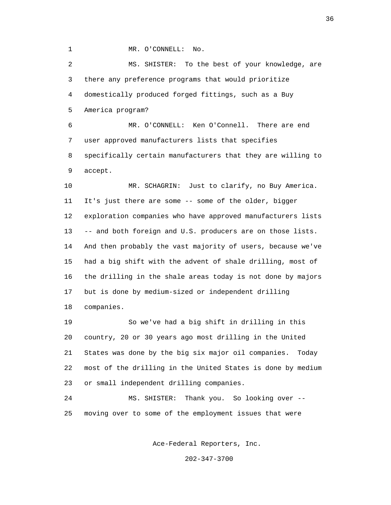1 MR. O'CONNELL: No.

 2 MS. SHISTER: To the best of your knowledge, are 3 there any preference programs that would prioritize 4 domestically produced forged fittings, such as a Buy 5 America program? 6 MR. O'CONNELL: Ken O'Connell. There are end

 7 user approved manufacturers lists that specifies 8 specifically certain manufacturers that they are willing to 9 accept.

 10 MR. SCHAGRIN: Just to clarify, no Buy America. 11 It's just there are some -- some of the older, bigger 12 exploration companies who have approved manufacturers lists 13 -- and both foreign and U.S. producers are on those lists. 14 And then probably the vast majority of users, because we've 15 had a big shift with the advent of shale drilling, most of 16 the drilling in the shale areas today is not done by majors 17 but is done by medium-sized or independent drilling 18 companies.

 19 So we've had a big shift in drilling in this 20 country, 20 or 30 years ago most drilling in the United 21 States was done by the big six major oil companies. Today 22 most of the drilling in the United States is done by medium 23 or small independent drilling companies.

 24 MS. SHISTER: Thank you. So looking over -- 25 moving over to some of the employment issues that were

Ace-Federal Reporters, Inc.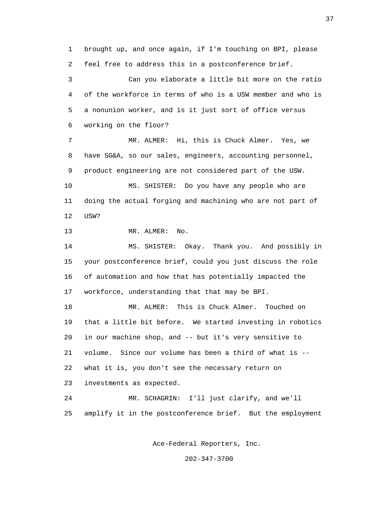1 brought up, and once again, if I'm touching on BPI, please 2 feel free to address this in a postconference brief.

 3 Can you elaborate a little bit more on the ratio 4 of the workforce in terms of who is a USW member and who is 5 a nonunion worker, and is it just sort of office versus 6 working on the floor?

 7 MR. ALMER: Hi, this is Chuck Almer. Yes, we 8 have SG&A, so our sales, engineers, accounting personnel, 9 product engineering are not considered part of the USW. 10 MS. SHISTER: Do you have any people who are 11 doing the actual forging and machining who are not part of 12 USW?

13 MR. ALMER: No.

 14 MS. SHISTER: Okay. Thank you. And possibly in 15 your postconference brief, could you just discuss the role 16 of automation and how that has potentially impacted the 17 workforce, understanding that that may be BPI.

 18 MR. ALMER: This is Chuck Almer. Touched on 19 that a little bit before. We started investing in robotics 20 in our machine shop, and -- but it's very sensitive to 21 volume. Since our volume has been a third of what is -- 22 what it is, you don't see the necessary return on 23 investments as expected.

 24 MR. SCHAGRIN: I'll just clarify, and we'll 25 amplify it in the postconference brief. But the employment

Ace-Federal Reporters, Inc.

202-347-3700

37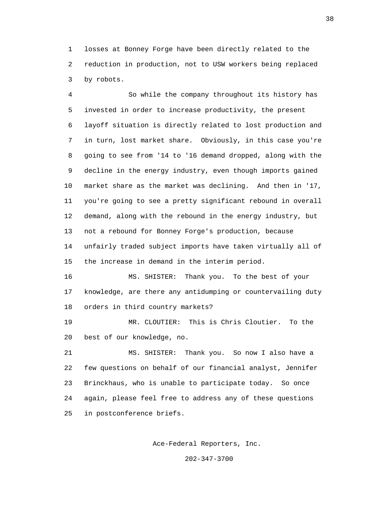1 losses at Bonney Forge have been directly related to the 2 reduction in production, not to USW workers being replaced 3 by robots.

 4 So while the company throughout its history has 5 invested in order to increase productivity, the present 6 layoff situation is directly related to lost production and 7 in turn, lost market share. Obviously, in this case you're 8 going to see from '14 to '16 demand dropped, along with the 9 decline in the energy industry, even though imports gained 10 market share as the market was declining. And then in '17, 11 you're going to see a pretty significant rebound in overall 12 demand, along with the rebound in the energy industry, but 13 not a rebound for Bonney Forge's production, because 14 unfairly traded subject imports have taken virtually all of 15 the increase in demand in the interim period.

 16 MS. SHISTER: Thank you. To the best of your 17 knowledge, are there any antidumping or countervailing duty 18 orders in third country markets?

 19 MR. CLOUTIER: This is Chris Cloutier. To the 20 best of our knowledge, no.

 21 MS. SHISTER: Thank you. So now I also have a 22 few questions on behalf of our financial analyst, Jennifer 23 Brinckhaus, who is unable to participate today. So once 24 again, please feel free to address any of these questions 25 in postconference briefs.

Ace-Federal Reporters, Inc.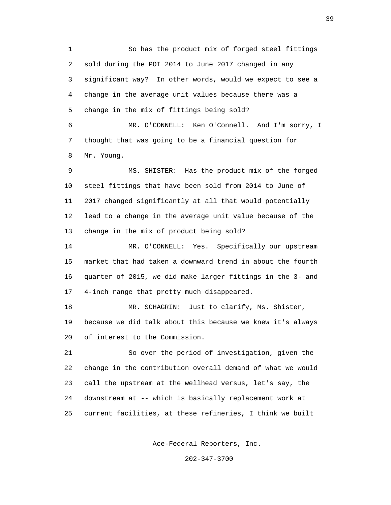1 So has the product mix of forged steel fittings 2 sold during the POI 2014 to June 2017 changed in any 3 significant way? In other words, would we expect to see a 4 change in the average unit values because there was a 5 change in the mix of fittings being sold?

 6 MR. O'CONNELL: Ken O'Connell. And I'm sorry, I 7 thought that was going to be a financial question for 8 Mr. Young.

 9 MS. SHISTER: Has the product mix of the forged 10 steel fittings that have been sold from 2014 to June of 11 2017 changed significantly at all that would potentially 12 lead to a change in the average unit value because of the 13 change in the mix of product being sold?

 14 MR. O'CONNELL: Yes. Specifically our upstream 15 market that had taken a downward trend in about the fourth 16 quarter of 2015, we did make larger fittings in the 3- and 17 4-inch range that pretty much disappeared.

 18 MR. SCHAGRIN: Just to clarify, Ms. Shister, 19 because we did talk about this because we knew it's always 20 of interest to the Commission.

 21 So over the period of investigation, given the 22 change in the contribution overall demand of what we would 23 call the upstream at the wellhead versus, let's say, the 24 downstream at -- which is basically replacement work at 25 current facilities, at these refineries, I think we built

Ace-Federal Reporters, Inc.

202-347-3700

 $39<sup>39</sup>$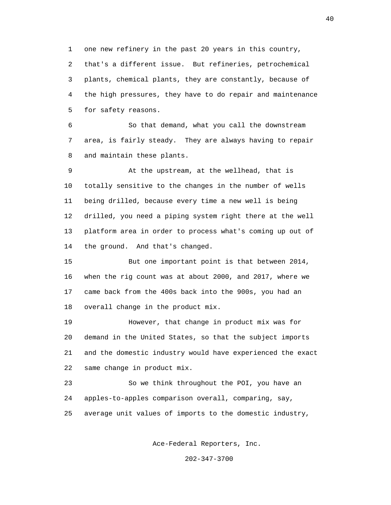1 one new refinery in the past 20 years in this country, 2 that's a different issue. But refineries, petrochemical 3 plants, chemical plants, they are constantly, because of 4 the high pressures, they have to do repair and maintenance 5 for safety reasons.

 6 So that demand, what you call the downstream 7 area, is fairly steady. They are always having to repair 8 and maintain these plants.

 9 At the upstream, at the wellhead, that is 10 totally sensitive to the changes in the number of wells 11 being drilled, because every time a new well is being 12 drilled, you need a piping system right there at the well 13 platform area in order to process what's coming up out of 14 the ground. And that's changed.

 15 But one important point is that between 2014, 16 when the rig count was at about 2000, and 2017, where we 17 came back from the 400s back into the 900s, you had an 18 overall change in the product mix.

 19 However, that change in product mix was for 20 demand in the United States, so that the subject imports 21 and the domestic industry would have experienced the exact 22 same change in product mix.

 23 So we think throughout the POI, you have an 24 apples-to-apples comparison overall, comparing, say, 25 average unit values of imports to the domestic industry,

Ace-Federal Reporters, Inc.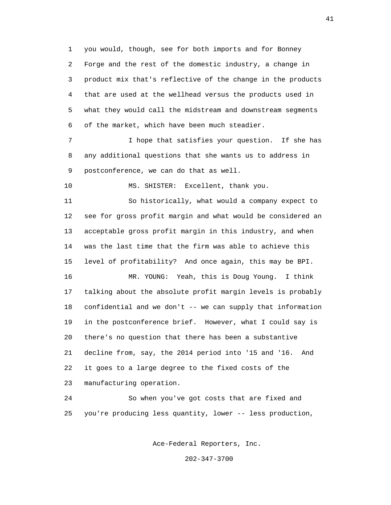1 you would, though, see for both imports and for Bonney 2 Forge and the rest of the domestic industry, a change in 3 product mix that's reflective of the change in the products 4 that are used at the wellhead versus the products used in 5 what they would call the midstream and downstream segments 6 of the market, which have been much steadier.

 7 I hope that satisfies your question. If she has 8 any additional questions that she wants us to address in 9 postconference, we can do that as well.

10 MS. SHISTER: Excellent, thank you.

 11 So historically, what would a company expect to 12 see for gross profit margin and what would be considered an 13 acceptable gross profit margin in this industry, and when 14 was the last time that the firm was able to achieve this 15 level of profitability? And once again, this may be BPI.

 16 MR. YOUNG: Yeah, this is Doug Young. I think 17 talking about the absolute profit margin levels is probably 18 confidential and we don't -- we can supply that information 19 in the postconference brief. However, what I could say is 20 there's no question that there has been a substantive 21 decline from, say, the 2014 period into '15 and '16. And 22 it goes to a large degree to the fixed costs of the 23 manufacturing operation.

 24 So when you've got costs that are fixed and 25 you're producing less quantity, lower -- less production,

Ace-Federal Reporters, Inc.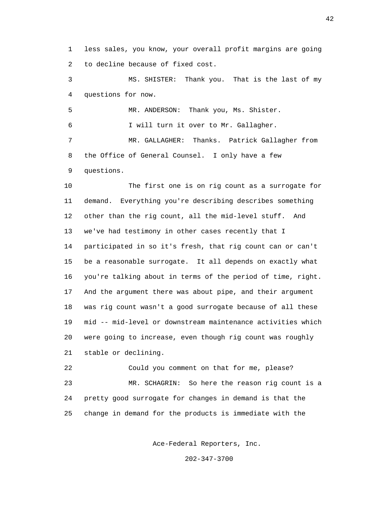1 less sales, you know, your overall profit margins are going 2 to decline because of fixed cost.

 3 MS. SHISTER: Thank you. That is the last of my 4 questions for now.

 5 MR. ANDERSON: Thank you, Ms. Shister. 6 I will turn it over to Mr. Gallagher. 7 MR. GALLAGHER: Thanks. Patrick Gallagher from 8 the Office of General Counsel. I only have a few 9 questions.

 10 The first one is on rig count as a surrogate for 11 demand. Everything you're describing describes something 12 other than the rig count, all the mid-level stuff. And 13 we've had testimony in other cases recently that I 14 participated in so it's fresh, that rig count can or can't 15 be a reasonable surrogate. It all depends on exactly what 16 you're talking about in terms of the period of time, right. 17 And the argument there was about pipe, and their argument 18 was rig count wasn't a good surrogate because of all these 19 mid -- mid-level or downstream maintenance activities which 20 were going to increase, even though rig count was roughly 21 stable or declining.

 22 Could you comment on that for me, please? 23 MR. SCHAGRIN: So here the reason rig count is a 24 pretty good surrogate for changes in demand is that the 25 change in demand for the products is immediate with the

Ace-Federal Reporters, Inc.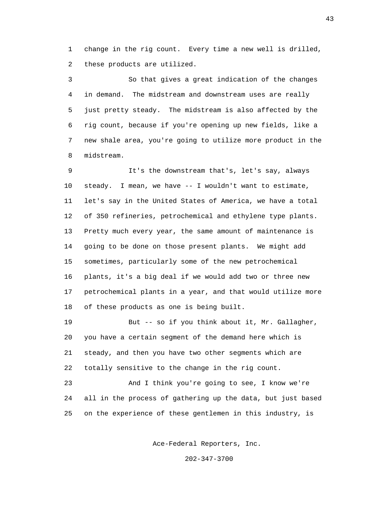1 change in the rig count. Every time a new well is drilled, 2 these products are utilized.

 3 So that gives a great indication of the changes 4 in demand. The midstream and downstream uses are really 5 just pretty steady. The midstream is also affected by the 6 rig count, because if you're opening up new fields, like a 7 new shale area, you're going to utilize more product in the 8 midstream.

 9 It's the downstream that's, let's say, always 10 steady. I mean, we have -- I wouldn't want to estimate, 11 let's say in the United States of America, we have a total 12 of 350 refineries, petrochemical and ethylene type plants. 13 Pretty much every year, the same amount of maintenance is 14 going to be done on those present plants. We might add 15 sometimes, particularly some of the new petrochemical 16 plants, it's a big deal if we would add two or three new 17 petrochemical plants in a year, and that would utilize more 18 of these products as one is being built.

 19 But -- so if you think about it, Mr. Gallagher, 20 you have a certain segment of the demand here which is 21 steady, and then you have two other segments which are 22 totally sensitive to the change in the rig count.

 23 And I think you're going to see, I know we're 24 all in the process of gathering up the data, but just based 25 on the experience of these gentlemen in this industry, is

Ace-Federal Reporters, Inc.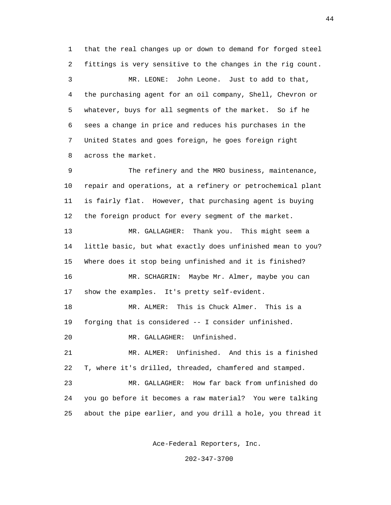1 that the real changes up or down to demand for forged steel 2 fittings is very sensitive to the changes in the rig count. 3 MR. LEONE: John Leone. Just to add to that, 4 the purchasing agent for an oil company, Shell, Chevron or 5 whatever, buys for all segments of the market. So if he 6 sees a change in price and reduces his purchases in the 7 United States and goes foreign, he goes foreign right 8 across the market.

 9 The refinery and the MRO business, maintenance, 10 repair and operations, at a refinery or petrochemical plant 11 is fairly flat. However, that purchasing agent is buying 12 the foreign product for every segment of the market.

 13 MR. GALLAGHER: Thank you. This might seem a 14 little basic, but what exactly does unfinished mean to you? 15 Where does it stop being unfinished and it is finished?

 16 MR. SCHAGRIN: Maybe Mr. Almer, maybe you can 17 show the examples. It's pretty self-evident.

 18 MR. ALMER: This is Chuck Almer. This is a 19 forging that is considered -- I consider unfinished.

20 MR. GALLAGHER: Unfinished.

 21 MR. ALMER: Unfinished. And this is a finished 22 T, where it's drilled, threaded, chamfered and stamped.

 23 MR. GALLAGHER: How far back from unfinished do 24 you go before it becomes a raw material? You were talking 25 about the pipe earlier, and you drill a hole, you thread it

Ace-Federal Reporters, Inc.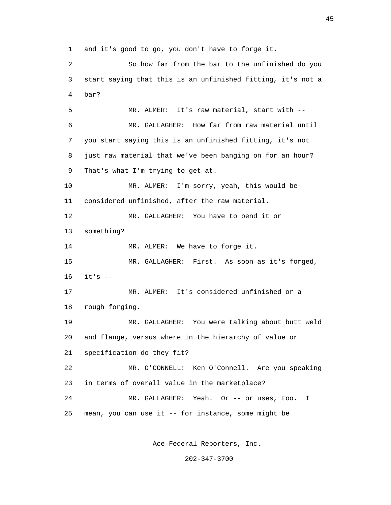1 and it's good to go, you don't have to forge it.

 2 So how far from the bar to the unfinished do you 3 start saying that this is an unfinished fitting, it's not a 4 bar? 5 MR. ALMER: It's raw material, start with -- 6 MR. GALLAGHER: How far from raw material until 7 you start saying this is an unfinished fitting, it's not 8 just raw material that we've been banging on for an hour? 9 That's what I'm trying to get at. 10 MR. ALMER: I'm sorry, yeah, this would be 11 considered unfinished, after the raw material. 12 MR. GALLAGHER: You have to bend it or 13 something? 14 MR. ALMER: We have to forge it. 15 MR. GALLAGHER: First. As soon as it's forged, 16 it's -- 17 MR. ALMER: It's considered unfinished or a 18 rough forging. 19 MR. GALLAGHER: You were talking about butt weld 20 and flange, versus where in the hierarchy of value or 21 specification do they fit? 22 MR. O'CONNELL: Ken O'Connell. Are you speaking 23 in terms of overall value in the marketplace? 24 MR. GALLAGHER: Yeah. Or -- or uses, too. I 25 mean, you can use it -- for instance, some might be

Ace-Federal Reporters, Inc.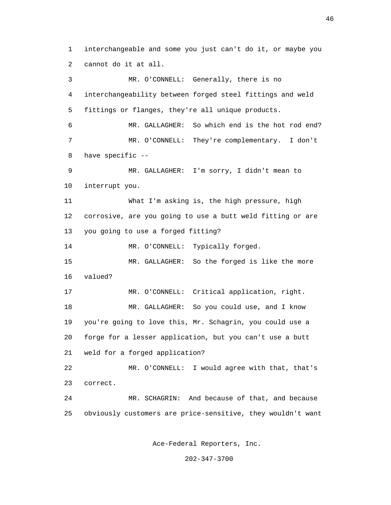1 interchangeable and some you just can't do it, or maybe you 2 cannot do it at all. 3 MR. O'CONNELL: Generally, there is no 4 interchangeability between forged steel fittings and weld 5 fittings or flanges, they're all unique products. 6 MR. GALLAGHER: So which end is the hot rod end? 7 MR. O'CONNELL: They're complementary. I don't 8 have specific -- 9 MR. GALLAGHER: I'm sorry, I didn't mean to 10 interrupt you. 11 What I'm asking is, the high pressure, high 12 corrosive, are you going to use a butt weld fitting or are 13 you going to use a forged fitting? 14 MR. O'CONNELL: Typically forged. 15 MR. GALLAGHER: So the forged is like the more 16 valued? 17 MR. O'CONNELL: Critical application, right. 18 MR. GALLAGHER: So you could use, and I know 19 you're going to love this, Mr. Schagrin, you could use a 20 forge for a lesser application, but you can't use a butt 21 weld for a forged application? 22 MR. O'CONNELL: I would agree with that, that's 23 correct. 24 MR. SCHAGRIN: And because of that, and because 25 obviously customers are price-sensitive, they wouldn't want

Ace-Federal Reporters, Inc.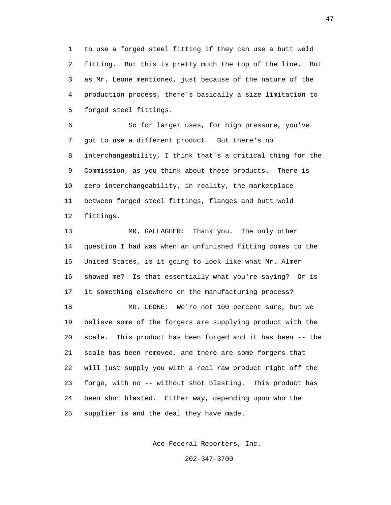1 to use a forged steel fitting if they can use a butt weld 2 fitting. But this is pretty much the top of the line. But 3 as Mr. Leone mentioned, just because of the nature of the 4 production process, there's basically a size limitation to 5 forged steel fittings.

 6 So for larger uses, for high pressure, you've 7 got to use a different product. But there's no 8 interchangeability, I think that's a critical thing for the 9 Commission, as you think about these products. There is 10 zero interchangeability, in reality, the marketplace 11 between forged steel fittings, flanges and butt weld 12 fittings.

 13 MR. GALLAGHER: Thank you. The only other 14 question I had was when an unfinished fitting comes to the 15 United States, is it going to look like what Mr. Almer 16 showed me? Is that essentially what you're saying? Or is 17 it something elsewhere on the manufacturing process?

 18 MR. LEONE: We're not 100 percent sure, but we 19 believe some of the forgers are supplying product with the 20 scale. This product has been forged and it has been -- the 21 scale has been removed, and there are some forgers that 22 will just supply you with a real raw product right off the 23 forge, with no -- without shot blasting. This product has 24 been shot blasted. Either way, depending upon who the 25 supplier is and the deal they have made.

Ace-Federal Reporters, Inc.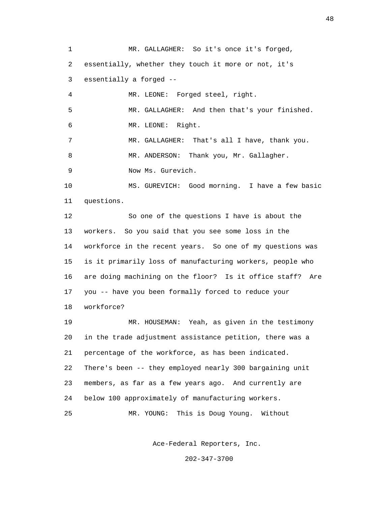1 MR. GALLAGHER: So it's once it's forged, 2 essentially, whether they touch it more or not, it's 3 essentially a forged -- 4 MR. LEONE: Forged steel, right. 5 MR. GALLAGHER: And then that's your finished. 6 MR. LEONE: Right. 7 MR. GALLAGHER: That's all I have, thank you. 8 MR. ANDERSON: Thank you, Mr. Gallagher. 9 Now Ms. Gurevich. 10 MS. GUREVICH: Good morning. I have a few basic 11 questions. 12 So one of the questions I have is about the 13 workers. So you said that you see some loss in the 14 workforce in the recent years. So one of my questions was 15 is it primarily loss of manufacturing workers, people who 16 are doing machining on the floor? Is it office staff? Are 17 you -- have you been formally forced to reduce your 18 workforce? 19 MR. HOUSEMAN: Yeah, as given in the testimony 20 in the trade adjustment assistance petition, there was a 21 percentage of the workforce, as has been indicated. 22 There's been -- they employed nearly 300 bargaining unit 23 members, as far as a few years ago. And currently are 24 below 100 approximately of manufacturing workers. 25 MR. YOUNG: This is Doug Young. Without

Ace-Federal Reporters, Inc.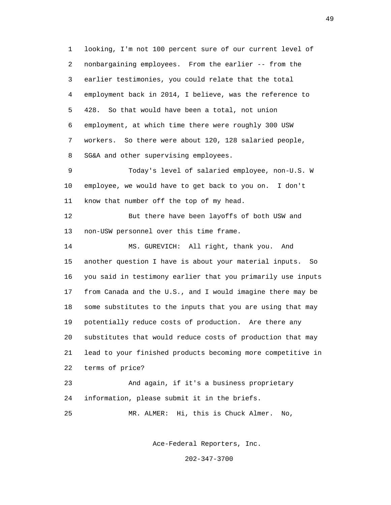1 looking, I'm not 100 percent sure of our current level of 2 nonbargaining employees. From the earlier -- from the 3 earlier testimonies, you could relate that the total 4 employment back in 2014, I believe, was the reference to 5 428. So that would have been a total, not union 6 employment, at which time there were roughly 300 USW 7 workers. So there were about 120, 128 salaried people, 8 SG&A and other supervising employees. 9 Today's level of salaried employee, non-U.S. W 10 employee, we would have to get back to you on. I don't 11 know that number off the top of my head. 12 But there have been layoffs of both USW and 13 non-USW personnel over this time frame. 14 MS. GUREVICH: All right, thank you. And 15 another question I have is about your material inputs. So 16 you said in testimony earlier that you primarily use inputs 17 from Canada and the U.S., and I would imagine there may be 18 some substitutes to the inputs that you are using that may 19 potentially reduce costs of production. Are there any 20 substitutes that would reduce costs of production that may 21 lead to your finished products becoming more competitive in 22 terms of price? 23 And again, if it's a business proprietary 24 information, please submit it in the briefs. 25 MR. ALMER: Hi, this is Chuck Almer. No,

Ace-Federal Reporters, Inc.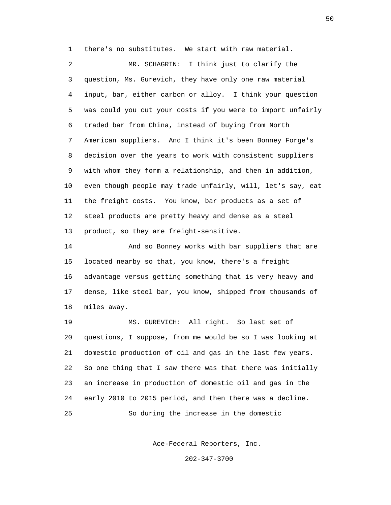1 there's no substitutes. We start with raw material.

 2 MR. SCHAGRIN: I think just to clarify the 3 question, Ms. Gurevich, they have only one raw material 4 input, bar, either carbon or alloy. I think your question 5 was could you cut your costs if you were to import unfairly 6 traded bar from China, instead of buying from North 7 American suppliers. And I think it's been Bonney Forge's 8 decision over the years to work with consistent suppliers 9 with whom they form a relationship, and then in addition, 10 even though people may trade unfairly, will, let's say, eat 11 the freight costs. You know, bar products as a set of 12 steel products are pretty heavy and dense as a steel 13 product, so they are freight-sensitive.

 14 And so Bonney works with bar suppliers that are 15 located nearby so that, you know, there's a freight 16 advantage versus getting something that is very heavy and 17 dense, like steel bar, you know, shipped from thousands of 18 miles away.

 19 MS. GUREVICH: All right. So last set of 20 questions, I suppose, from me would be so I was looking at 21 domestic production of oil and gas in the last few years. 22 So one thing that I saw there was that there was initially 23 an increase in production of domestic oil and gas in the 24 early 2010 to 2015 period, and then there was a decline. 25 So during the increase in the domestic

Ace-Federal Reporters, Inc.

202-347-3700

 $\sim$  50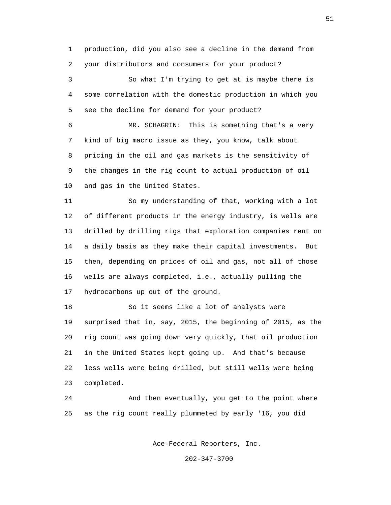1 production, did you also see a decline in the demand from 2 your distributors and consumers for your product?

 3 So what I'm trying to get at is maybe there is 4 some correlation with the domestic production in which you 5 see the decline for demand for your product?

 6 MR. SCHAGRIN: This is something that's a very 7 kind of big macro issue as they, you know, talk about 8 pricing in the oil and gas markets is the sensitivity of 9 the changes in the rig count to actual production of oil 10 and gas in the United States.

 11 So my understanding of that, working with a lot 12 of different products in the energy industry, is wells are 13 drilled by drilling rigs that exploration companies rent on 14 a daily basis as they make their capital investments. But 15 then, depending on prices of oil and gas, not all of those 16 wells are always completed, i.e., actually pulling the 17 hydrocarbons up out of the ground.

 18 So it seems like a lot of analysts were 19 surprised that in, say, 2015, the beginning of 2015, as the 20 rig count was going down very quickly, that oil production 21 in the United States kept going up. And that's because 22 less wells were being drilled, but still wells were being 23 completed.

 24 And then eventually, you get to the point where 25 as the rig count really plummeted by early '16, you did

Ace-Federal Reporters, Inc.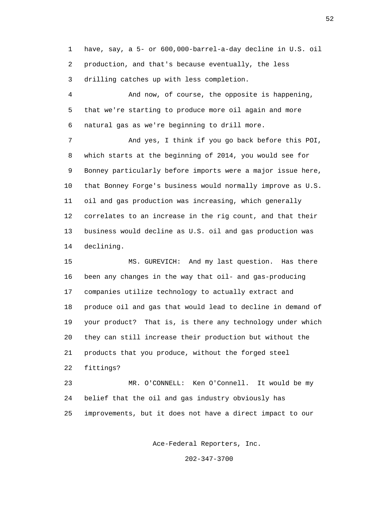1 have, say, a 5- or 600,000-barrel-a-day decline in U.S. oil 2 production, and that's because eventually, the less 3 drilling catches up with less completion.

 4 And now, of course, the opposite is happening, 5 that we're starting to produce more oil again and more 6 natural gas as we're beginning to drill more.

 7 And yes, I think if you go back before this POI, 8 which starts at the beginning of 2014, you would see for 9 Bonney particularly before imports were a major issue here, 10 that Bonney Forge's business would normally improve as U.S. 11 oil and gas production was increasing, which generally 12 correlates to an increase in the rig count, and that their 13 business would decline as U.S. oil and gas production was 14 declining.

 15 MS. GUREVICH: And my last question. Has there 16 been any changes in the way that oil- and gas-producing 17 companies utilize technology to actually extract and 18 produce oil and gas that would lead to decline in demand of 19 your product? That is, is there any technology under which 20 they can still increase their production but without the 21 products that you produce, without the forged steel 22 fittings?

 23 MR. O'CONNELL: Ken O'Connell. It would be my 24 belief that the oil and gas industry obviously has 25 improvements, but it does not have a direct impact to our

Ace-Federal Reporters, Inc.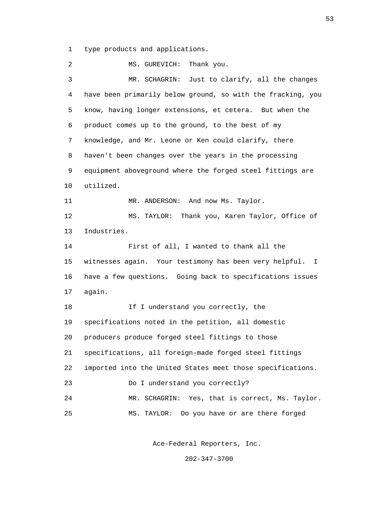1 type products and applications.

2 MS. GUREVICH: Thank you. 3 MR. SCHAGRIN: Just to clarify, all the changes 4 have been primarily below ground, so with the fracking, you 5 know, having longer extensions, et cetera. But when the 6 product comes up to the ground, to the best of my 7 knowledge, and Mr. Leone or Ken could clarify, there 8 haven't been changes over the years in the processing 9 equipment aboveground where the forged steel fittings are 10 utilized. 11 MR. ANDERSON: And now Ms. Taylor. 12 MS. TAYLOR: Thank you, Karen Taylor, Office of 13 Industries. 14 First of all, I wanted to thank all the 15 witnesses again. Your testimony has been very helpful. I 16 have a few questions. Going back to specifications issues 17 again. 18 If I understand you correctly, the 19 specifications noted in the petition, all domestic 20 producers produce forged steel fittings to those 21 specifications, all foreign-made forged steel fittings 22 imported into the United States meet those specifications. 23 Do I understand you correctly? 24 MR. SCHAGRIN: Yes, that is correct, Ms. Taylor. 25 MS. TAYLOR: Do you have or are there forged

Ace-Federal Reporters, Inc.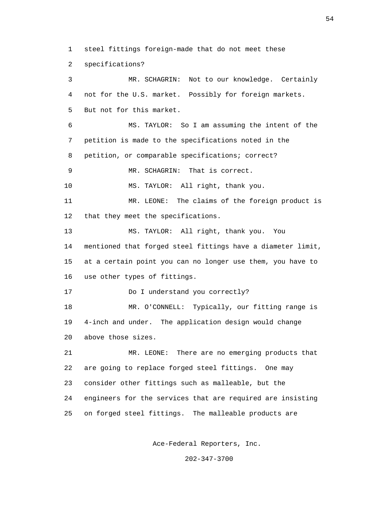1 steel fittings foreign-made that do not meet these

2 specifications?

 3 MR. SCHAGRIN: Not to our knowledge. Certainly 4 not for the U.S. market. Possibly for foreign markets. 5 But not for this market. 6 MS. TAYLOR: So I am assuming the intent of the 7 petition is made to the specifications noted in the 8 petition, or comparable specifications; correct? 9 MR. SCHAGRIN: That is correct. 10 MS. TAYLOR: All right, thank you. 11 MR. LEONE: The claims of the foreign product is 12 that they meet the specifications. 13 MS. TAYLOR: All right, thank you. You 14 mentioned that forged steel fittings have a diameter limit, 15 at a certain point you can no longer use them, you have to 16 use other types of fittings. 17 Do I understand you correctly? 18 MR. O'CONNELL: Typically, our fitting range is 19 4-inch and under. The application design would change 20 above those sizes. 21 MR. LEONE: There are no emerging products that 22 are going to replace forged steel fittings. One may 23 consider other fittings such as malleable, but the 24 engineers for the services that are required are insisting 25 on forged steel fittings. The malleable products are

Ace-Federal Reporters, Inc.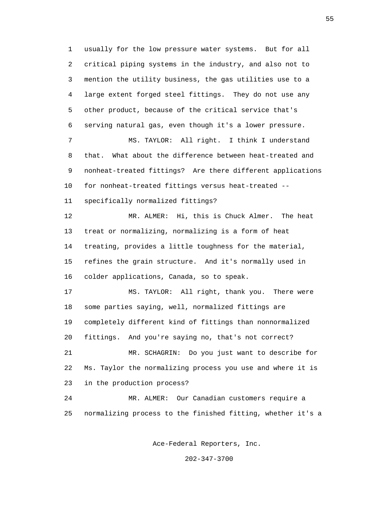1 usually for the low pressure water systems. But for all 2 critical piping systems in the industry, and also not to 3 mention the utility business, the gas utilities use to a 4 large extent forged steel fittings. They do not use any 5 other product, because of the critical service that's 6 serving natural gas, even though it's a lower pressure. 7 MS. TAYLOR: All right. I think I understand 8 that. What about the difference between heat-treated and 9 nonheat-treated fittings? Are there different applications 10 for nonheat-treated fittings versus heat-treated -- 11 specifically normalized fittings? 12 MR. ALMER: Hi, this is Chuck Almer. The heat 13 treat or normalizing, normalizing is a form of heat 14 treating, provides a little toughness for the material, 15 refines the grain structure. And it's normally used in 16 colder applications, Canada, so to speak. 17 MS. TAYLOR: All right, thank you. There were 18 some parties saying, well, normalized fittings are 19 completely different kind of fittings than nonnormalized 20 fittings. And you're saying no, that's not correct? 21 MR. SCHAGRIN: Do you just want to describe for 22 Ms. Taylor the normalizing process you use and where it is 23 in the production process? 24 MR. ALMER: Our Canadian customers require a 25 normalizing process to the finished fitting, whether it's a

Ace-Federal Reporters, Inc.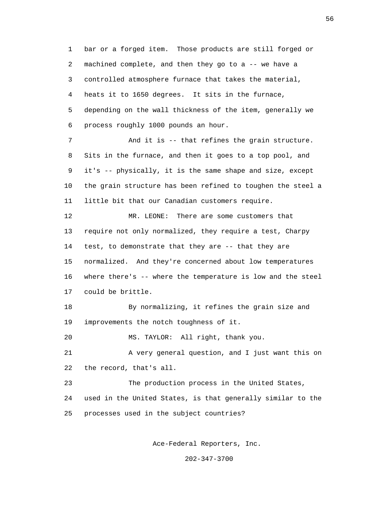1 bar or a forged item. Those products are still forged or 2 machined complete, and then they go to a -- we have a 3 controlled atmosphere furnace that takes the material, 4 heats it to 1650 degrees. It sits in the furnace, 5 depending on the wall thickness of the item, generally we 6 process roughly 1000 pounds an hour. 7 And it is -- that refines the grain structure.

 8 Sits in the furnace, and then it goes to a top pool, and 9 it's -- physically, it is the same shape and size, except 10 the grain structure has been refined to toughen the steel a 11 little bit that our Canadian customers require.

 12 MR. LEONE: There are some customers that 13 require not only normalized, they require a test, Charpy 14 test, to demonstrate that they are -- that they are 15 normalized. And they're concerned about low temperatures 16 where there's -- where the temperature is low and the steel 17 could be brittle.

 18 By normalizing, it refines the grain size and 19 improvements the notch toughness of it.

20 MS. TAYLOR: All right, thank you.

 21 A very general question, and I just want this on 22 the record, that's all.

 23 The production process in the United States, 24 used in the United States, is that generally similar to the 25 processes used in the subject countries?

Ace-Federal Reporters, Inc.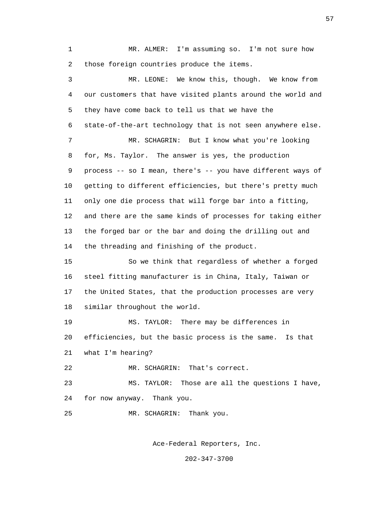1 MR. ALMER: I'm assuming so. I'm not sure how 2 those foreign countries produce the items.

 3 MR. LEONE: We know this, though. We know from 4 our customers that have visited plants around the world and 5 they have come back to tell us that we have the 6 state-of-the-art technology that is not seen anywhere else. 7 MR. SCHAGRIN: But I know what you're looking 8 for, Ms. Taylor. The answer is yes, the production 9 process -- so I mean, there's -- you have different ways of 10 getting to different efficiencies, but there's pretty much 11 only one die process that will forge bar into a fitting, 12 and there are the same kinds of processes for taking either 13 the forged bar or the bar and doing the drilling out and 14 the threading and finishing of the product. 15 So we think that regardless of whether a forged 16 steel fitting manufacturer is in China, Italy, Taiwan or 17 the United States, that the production processes are very 18 similar throughout the world. 19 MS. TAYLOR: There may be differences in 20 efficiencies, but the basic process is the same. Is that 21 what I'm hearing? 22 MR. SCHAGRIN: That's correct. 23 MS. TAYLOR: Those are all the questions I have, 24 for now anyway. Thank you.

25 MR. SCHAGRIN: Thank you.

Ace-Federal Reporters, Inc.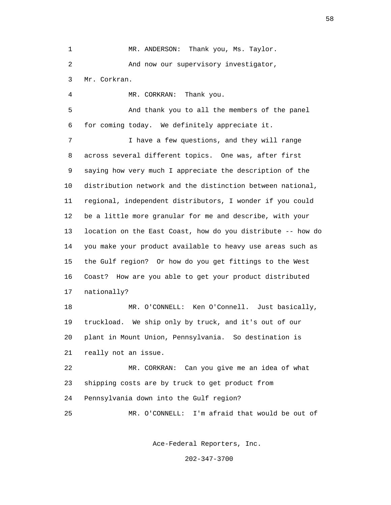1 MR. ANDERSON: Thank you, Ms. Taylor. 2 And now our supervisory investigator, 3 Mr. Corkran.

4 MR. CORKRAN: Thank you.

 5 And thank you to all the members of the panel 6 for coming today. We definitely appreciate it.

 7 I have a few questions, and they will range 8 across several different topics. One was, after first 9 saying how very much I appreciate the description of the 10 distribution network and the distinction between national, 11 regional, independent distributors, I wonder if you could 12 be a little more granular for me and describe, with your 13 location on the East Coast, how do you distribute -- how do 14 you make your product available to heavy use areas such as 15 the Gulf region? Or how do you get fittings to the West 16 Coast? How are you able to get your product distributed 17 nationally?

 18 MR. O'CONNELL: Ken O'Connell. Just basically, 19 truckload. We ship only by truck, and it's out of our 20 plant in Mount Union, Pennsylvania. So destination is 21 really not an issue.

 22 MR. CORKRAN: Can you give me an idea of what 23 shipping costs are by truck to get product from 24 Pennsylvania down into the Gulf region?

25 MR. O'CONNELL: I'm afraid that would be out of

Ace-Federal Reporters, Inc.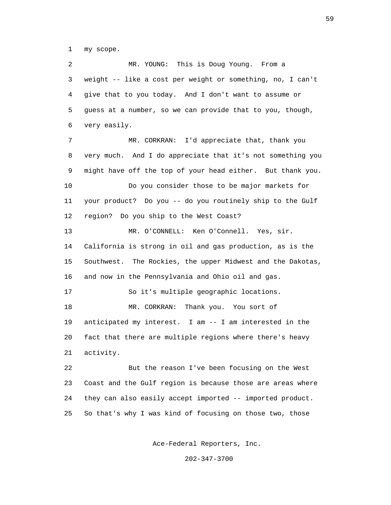1 my scope.

 2 MR. YOUNG: This is Doug Young. From a 3 weight -- like a cost per weight or something, no, I can't 4 give that to you today. And I don't want to assume or 5 guess at a number, so we can provide that to you, though, 6 very easily. 7 MR. CORKRAN: I'd appreciate that, thank you 8 very much. And I do appreciate that it's not something you 9 might have off the top of your head either. But thank you. 10 Do you consider those to be major markets for 11 your product? Do you -- do you routinely ship to the Gulf 12 region? Do you ship to the West Coast? 13 MR. O'CONNELL: Ken O'Connell. Yes, sir. 14 California is strong in oil and gas production, as is the 15 Southwest. The Rockies, the upper Midwest and the Dakotas, 16 and now in the Pennsylvania and Ohio oil and gas. 17 So it's multiple geographic locations. 18 MR. CORKRAN: Thank you. You sort of 19 anticipated my interest. I am -- I am interested in the 20 fact that there are multiple regions where there's heavy 21 activity. 22 But the reason I've been focusing on the West 23 Coast and the Gulf region is because those are areas where 24 they can also easily accept imported -- imported product. 25 So that's why I was kind of focusing on those two, those

Ace-Federal Reporters, Inc.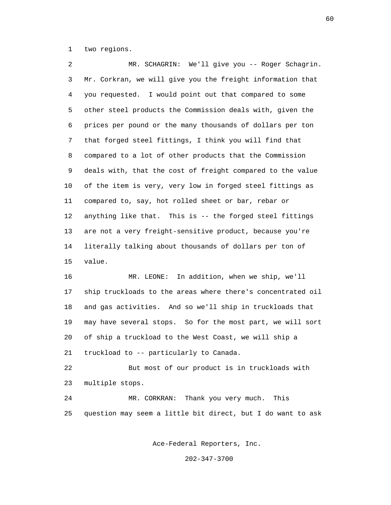1 two regions.

 2 MR. SCHAGRIN: We'll give you -- Roger Schagrin. 3 Mr. Corkran, we will give you the freight information that 4 you requested. I would point out that compared to some 5 other steel products the Commission deals with, given the 6 prices per pound or the many thousands of dollars per ton 7 that forged steel fittings, I think you will find that 8 compared to a lot of other products that the Commission 9 deals with, that the cost of freight compared to the value 10 of the item is very, very low in forged steel fittings as 11 compared to, say, hot rolled sheet or bar, rebar or 12 anything like that. This is -- the forged steel fittings 13 are not a very freight-sensitive product, because you're 14 literally talking about thousands of dollars per ton of 15 value.

 16 MR. LEONE: In addition, when we ship, we'll 17 ship truckloads to the areas where there's concentrated oil 18 and gas activities. And so we'll ship in truckloads that 19 may have several stops. So for the most part, we will sort 20 of ship a truckload to the West Coast, we will ship a 21 truckload to -- particularly to Canada.

 22 But most of our product is in truckloads with 23 multiple stops.

 24 MR. CORKRAN: Thank you very much. This 25 question may seem a little bit direct, but I do want to ask

Ace-Federal Reporters, Inc.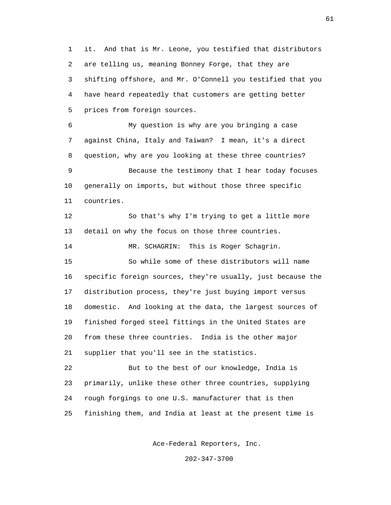1 it. And that is Mr. Leone, you testified that distributors 2 are telling us, meaning Bonney Forge, that they are 3 shifting offshore, and Mr. O'Connell you testified that you 4 have heard repeatedly that customers are getting better 5 prices from foreign sources.

 6 My question is why are you bringing a case 7 against China, Italy and Taiwan? I mean, it's a direct 8 question, why are you looking at these three countries? 9 Because the testimony that I hear today focuses 10 generally on imports, but without those three specific 11 countries.

 12 So that's why I'm trying to get a little more 13 detail on why the focus on those three countries.

14 MR. SCHAGRIN: This is Roger Schagrin.

 15 So while some of these distributors will name 16 specific foreign sources, they're usually, just because the 17 distribution process, they're just buying import versus 18 domestic. And looking at the data, the largest sources of 19 finished forged steel fittings in the United States are 20 from these three countries. India is the other major 21 supplier that you'll see in the statistics.

 22 But to the best of our knowledge, India is 23 primarily, unlike these other three countries, supplying 24 rough forgings to one U.S. manufacturer that is then 25 finishing them, and India at least at the present time is

Ace-Federal Reporters, Inc.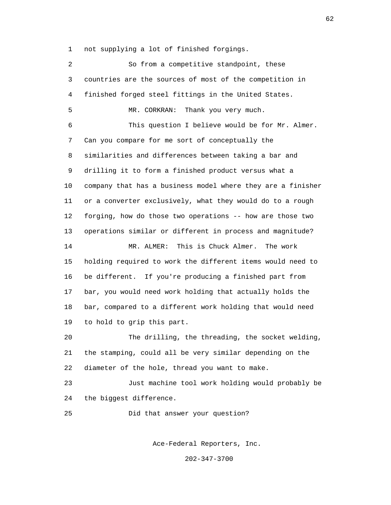1 not supplying a lot of finished forgings.

 2 So from a competitive standpoint, these 3 countries are the sources of most of the competition in 4 finished forged steel fittings in the United States. 5 MR. CORKRAN: Thank you very much. 6 This question I believe would be for Mr. Almer. 7 Can you compare for me sort of conceptually the 8 similarities and differences between taking a bar and 9 drilling it to form a finished product versus what a 10 company that has a business model where they are a finisher 11 or a converter exclusively, what they would do to a rough 12 forging, how do those two operations -- how are those two 13 operations similar or different in process and magnitude? 14 MR. ALMER: This is Chuck Almer. The work 15 holding required to work the different items would need to 16 be different. If you're producing a finished part from 17 bar, you would need work holding that actually holds the 18 bar, compared to a different work holding that would need 19 to hold to grip this part. 20 The drilling, the threading, the socket welding, 21 the stamping, could all be very similar depending on the 22 diameter of the hole, thread you want to make. 23 Just machine tool work holding would probably be 24 the biggest difference. 25 Did that answer your question?

Ace-Federal Reporters, Inc.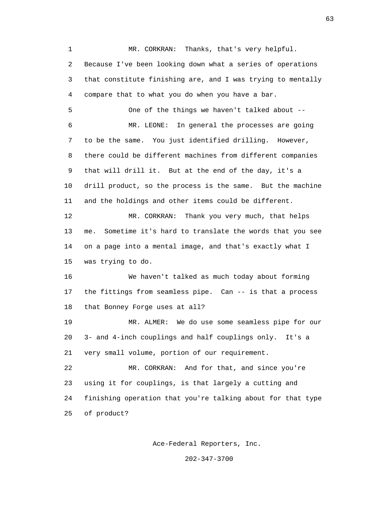1 MR. CORKRAN: Thanks, that's very helpful. 2 Because I've been looking down what a series of operations 3 that constitute finishing are, and I was trying to mentally 4 compare that to what you do when you have a bar. 5 One of the things we haven't talked about -- 6 MR. LEONE: In general the processes are going 7 to be the same. You just identified drilling. However, 8 there could be different machines from different companies 9 that will drill it. But at the end of the day, it's a 10 drill product, so the process is the same. But the machine 11 and the holdings and other items could be different. 12 MR. CORKRAN: Thank you very much, that helps 13 me. Sometime it's hard to translate the words that you see 14 on a page into a mental image, and that's exactly what I 15 was trying to do. 16 We haven't talked as much today about forming 17 the fittings from seamless pipe. Can -- is that a process 18 that Bonney Forge uses at all? 19 MR. ALMER: We do use some seamless pipe for our 20 3- and 4-inch couplings and half couplings only. It's a 21 very small volume, portion of our requirement. 22 MR. CORKRAN: And for that, and since you're 23 using it for couplings, is that largely a cutting and 24 finishing operation that you're talking about for that type 25 of product?

Ace-Federal Reporters, Inc.

202-347-3700

 $\sim$  63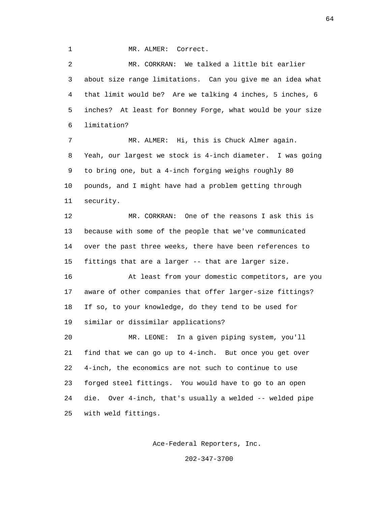1 MR. ALMER: Correct.

 2 MR. CORKRAN: We talked a little bit earlier 3 about size range limitations. Can you give me an idea what 4 that limit would be? Are we talking 4 inches, 5 inches, 6 5 inches? At least for Bonney Forge, what would be your size 6 limitation? 7 MR. ALMER: Hi, this is Chuck Almer again. 8 Yeah, our largest we stock is 4-inch diameter. I was going

 9 to bring one, but a 4-inch forging weighs roughly 80 10 pounds, and I might have had a problem getting through 11 security.

 12 MR. CORKRAN: One of the reasons I ask this is 13 because with some of the people that we've communicated 14 over the past three weeks, there have been references to 15 fittings that are a larger -- that are larger size.

 16 At least from your domestic competitors, are you 17 aware of other companies that offer larger-size fittings? 18 If so, to your knowledge, do they tend to be used for 19 similar or dissimilar applications?

 20 MR. LEONE: In a given piping system, you'll 21 find that we can go up to 4-inch. But once you get over 22 4-inch, the economics are not such to continue to use 23 forged steel fittings. You would have to go to an open 24 die. Over 4-inch, that's usually a welded -- welded pipe 25 with weld fittings.

Ace-Federal Reporters, Inc.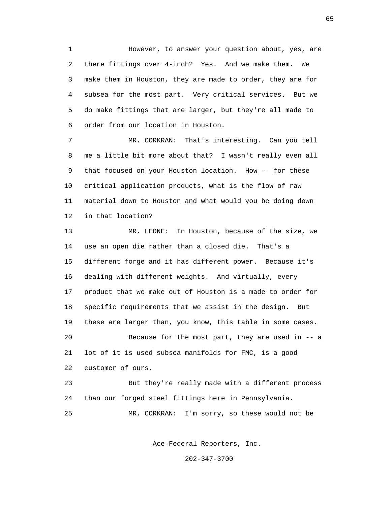1 However, to answer your question about, yes, are 2 there fittings over 4-inch? Yes. And we make them. We 3 make them in Houston, they are made to order, they are for 4 subsea for the most part. Very critical services. But we 5 do make fittings that are larger, but they're all made to 6 order from our location in Houston.

 7 MR. CORKRAN: That's interesting. Can you tell 8 me a little bit more about that? I wasn't really even all 9 that focused on your Houston location. How -- for these 10 critical application products, what is the flow of raw 11 material down to Houston and what would you be doing down 12 in that location?

 13 MR. LEONE: In Houston, because of the size, we 14 use an open die rather than a closed die. That's a 15 different forge and it has different power. Because it's 16 dealing with different weights. And virtually, every 17 product that we make out of Houston is a made to order for 18 specific requirements that we assist in the design. But 19 these are larger than, you know, this table in some cases. 20 Because for the most part, they are used in -- a 21 lot of it is used subsea manifolds for FMC, is a good 22 customer of ours. 23 But they're really made with a different process

24 than our forged steel fittings here in Pennsylvania.

25 MR. CORKRAN: I'm sorry, so these would not be

Ace-Federal Reporters, Inc.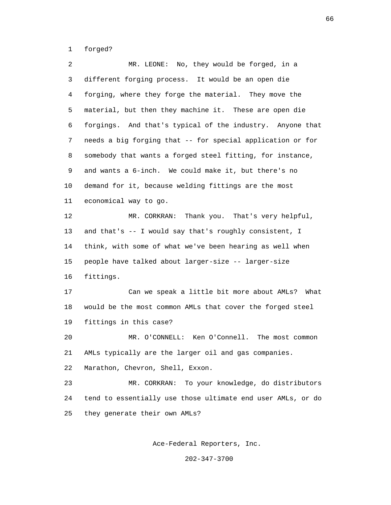1 forged?

 2 MR. LEONE: No, they would be forged, in a 3 different forging process. It would be an open die 4 forging, where they forge the material. They move the 5 material, but then they machine it. These are open die 6 forgings. And that's typical of the industry. Anyone that 7 needs a big forging that -- for special application or for 8 somebody that wants a forged steel fitting, for instance, 9 and wants a 6-inch. We could make it, but there's no 10 demand for it, because welding fittings are the most 11 economical way to go. 12 MR. CORKRAN: Thank you. That's very helpful, 13 and that's -- I would say that's roughly consistent, I 14 think, with some of what we've been hearing as well when 15 people have talked about larger-size -- larger-size 16 fittings. 17 Can we speak a little bit more about AMLs? What 18 would be the most common AMLs that cover the forged steel 19 fittings in this case? 20 MR. O'CONNELL: Ken O'Connell. The most common 21 AMLs typically are the larger oil and gas companies. 22 Marathon, Chevron, Shell, Exxon. 23 MR. CORKRAN: To your knowledge, do distributors 24 tend to essentially use those ultimate end user AMLs, or do 25 they generate their own AMLs?

Ace-Federal Reporters, Inc.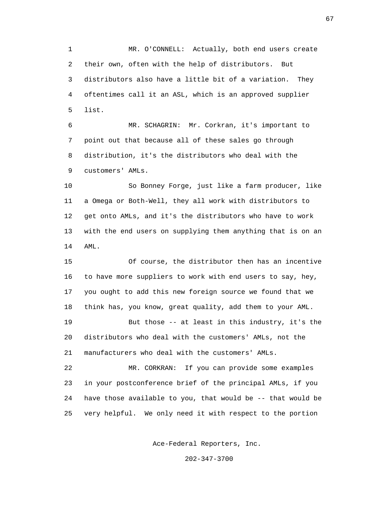1 MR. O'CONNELL: Actually, both end users create 2 their own, often with the help of distributors. But 3 distributors also have a little bit of a variation. They 4 oftentimes call it an ASL, which is an approved supplier 5 list.

 6 MR. SCHAGRIN: Mr. Corkran, it's important to 7 point out that because all of these sales go through 8 distribution, it's the distributors who deal with the 9 customers' AMLs.

 10 So Bonney Forge, just like a farm producer, like 11 a Omega or Both-Well, they all work with distributors to 12 get onto AMLs, and it's the distributors who have to work 13 with the end users on supplying them anything that is on an 14 AML.

 15 Of course, the distributor then has an incentive 16 to have more suppliers to work with end users to say, hey, 17 you ought to add this new foreign source we found that we 18 think has, you know, great quality, add them to your AML.

 19 But those -- at least in this industry, it's the 20 distributors who deal with the customers' AMLs, not the 21 manufacturers who deal with the customers' AMLs.

 22 MR. CORKRAN: If you can provide some examples 23 in your postconference brief of the principal AMLs, if you 24 have those available to you, that would be -- that would be 25 very helpful. We only need it with respect to the portion

Ace-Federal Reporters, Inc.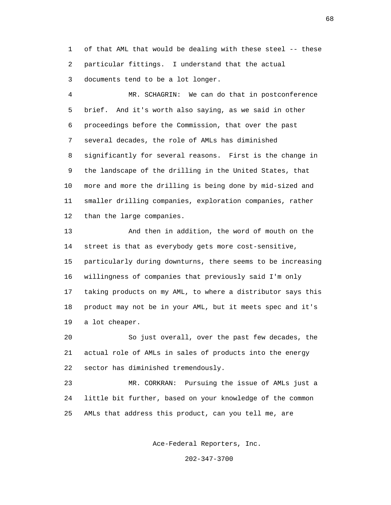1 of that AML that would be dealing with these steel -- these 2 particular fittings. I understand that the actual 3 documents tend to be a lot longer.

 4 MR. SCHAGRIN: We can do that in postconference 5 brief. And it's worth also saying, as we said in other 6 proceedings before the Commission, that over the past 7 several decades, the role of AMLs has diminished 8 significantly for several reasons. First is the change in 9 the landscape of the drilling in the United States, that 10 more and more the drilling is being done by mid-sized and 11 smaller drilling companies, exploration companies, rather 12 than the large companies.

 13 And then in addition, the word of mouth on the 14 street is that as everybody gets more cost-sensitive, 15 particularly during downturns, there seems to be increasing 16 willingness of companies that previously said I'm only 17 taking products on my AML, to where a distributor says this 18 product may not be in your AML, but it meets spec and it's 19 a lot cheaper.

 20 So just overall, over the past few decades, the 21 actual role of AMLs in sales of products into the energy 22 sector has diminished tremendously.

 23 MR. CORKRAN: Pursuing the issue of AMLs just a 24 little bit further, based on your knowledge of the common 25 AMLs that address this product, can you tell me, are

Ace-Federal Reporters, Inc.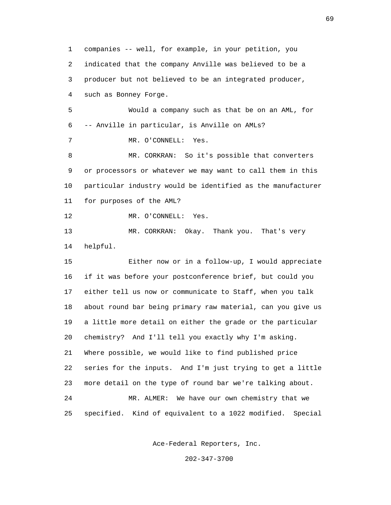1 companies -- well, for example, in your petition, you 2 indicated that the company Anville was believed to be a 3 producer but not believed to be an integrated producer, 4 such as Bonney Forge. 5 Would a company such as that be on an AML, for 6 -- Anville in particular, is Anville on AMLs? 7 MR. O'CONNELL: Yes. 8 MR. CORKRAN: So it's possible that converters 9 or processors or whatever we may want to call them in this 10 particular industry would be identified as the manufacturer 11 for purposes of the AML? 12 MR. O'CONNELL: Yes. 13 MR. CORKRAN: Okay. Thank you. That's very 14 helpful. 15 Either now or in a follow-up, I would appreciate 16 if it was before your postconference brief, but could you 17 either tell us now or communicate to Staff, when you talk 18 about round bar being primary raw material, can you give us 19 a little more detail on either the grade or the particular 20 chemistry? And I'll tell you exactly why I'm asking. 21 Where possible, we would like to find published price 22 series for the inputs. And I'm just trying to get a little 23 more detail on the type of round bar we're talking about. 24 MR. ALMER: We have our own chemistry that we 25 specified. Kind of equivalent to a 1022 modified. Special

Ace-Federal Reporters, Inc.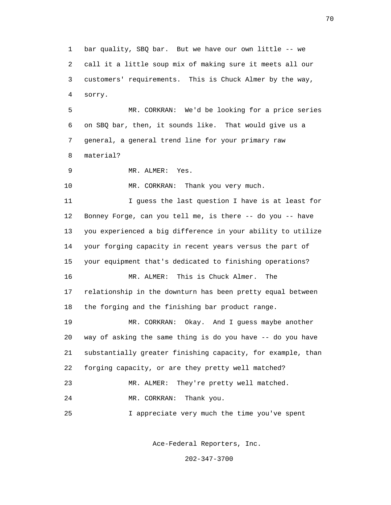1 bar quality, SBQ bar. But we have our own little -- we 2 call it a little soup mix of making sure it meets all our 3 customers' requirements. This is Chuck Almer by the way, 4 sorry.

 5 MR. CORKRAN: We'd be looking for a price series 6 on SBQ bar, then, it sounds like. That would give us a 7 general, a general trend line for your primary raw 8 material?

9 MR. ALMER: Yes.

10 MR. CORKRAN: Thank you very much.

 11 I guess the last question I have is at least for 12 Bonney Forge, can you tell me, is there -- do you -- have 13 you experienced a big difference in your ability to utilize 14 your forging capacity in recent years versus the part of 15 your equipment that's dedicated to finishing operations? 16 MR. ALMER: This is Chuck Almer. The 17 relationship in the downturn has been pretty equal between 18 the forging and the finishing bar product range.

 19 MR. CORKRAN: Okay. And I guess maybe another 20 way of asking the same thing is do you have -- do you have 21 substantially greater finishing capacity, for example, than 22 forging capacity, or are they pretty well matched?

23 MR. ALMER: They're pretty well matched.

24 MR. CORKRAN: Thank you.

25 I appreciate very much the time you've spent

Ace-Federal Reporters, Inc.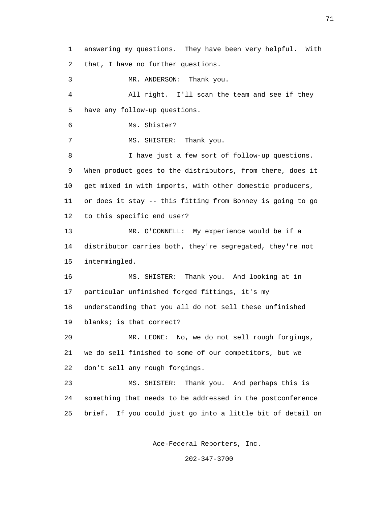1 answering my questions. They have been very helpful. With 2 that, I have no further questions. 3 MR. ANDERSON: Thank you. 4 All right. I'll scan the team and see if they 5 have any follow-up questions. 6 Ms. Shister? 7 MS. SHISTER: Thank you. 8 I have just a few sort of follow-up questions. 9 When product goes to the distributors, from there, does it 10 get mixed in with imports, with other domestic producers, 11 or does it stay -- this fitting from Bonney is going to go 12 to this specific end user? 13 MR. O'CONNELL: My experience would be if a 14 distributor carries both, they're segregated, they're not 15 intermingled. 16 MS. SHISTER: Thank you. And looking at in 17 particular unfinished forged fittings, it's my 18 understanding that you all do not sell these unfinished 19 blanks; is that correct? 20 MR. LEONE: No, we do not sell rough forgings, 21 we do sell finished to some of our competitors, but we 22 don't sell any rough forgings. 23 MS. SHISTER: Thank you. And perhaps this is 24 something that needs to be addressed in the postconference 25 brief. If you could just go into a little bit of detail on

Ace-Federal Reporters, Inc.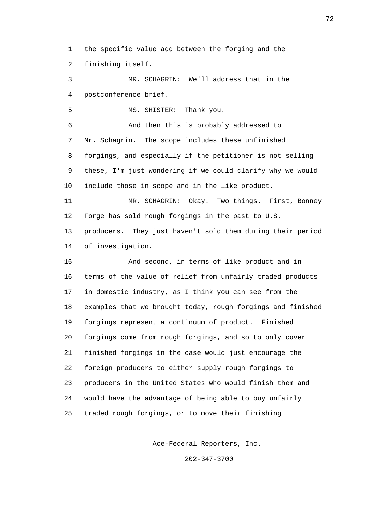1 the specific value add between the forging and the 2 finishing itself.

 3 MR. SCHAGRIN: We'll address that in the 4 postconference brief. 5 MS. SHISTER: Thank you.

 6 And then this is probably addressed to 7 Mr. Schagrin. The scope includes these unfinished 8 forgings, and especially if the petitioner is not selling 9 these, I'm just wondering if we could clarify why we would 10 include those in scope and in the like product.

 11 MR. SCHAGRIN: Okay. Two things. First, Bonney 12 Forge has sold rough forgings in the past to U.S.

 13 producers. They just haven't sold them during their period 14 of investigation.

 15 And second, in terms of like product and in 16 terms of the value of relief from unfairly traded products 17 in domestic industry, as I think you can see from the 18 examples that we brought today, rough forgings and finished 19 forgings represent a continuum of product. Finished 20 forgings come from rough forgings, and so to only cover 21 finished forgings in the case would just encourage the 22 foreign producers to either supply rough forgings to 23 producers in the United States who would finish them and 24 would have the advantage of being able to buy unfairly 25 traded rough forgings, or to move their finishing

Ace-Federal Reporters, Inc.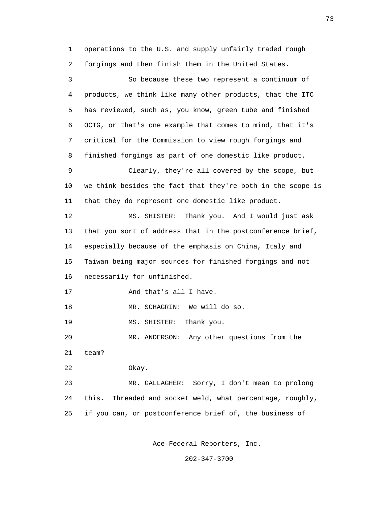1 operations to the U.S. and supply unfairly traded rough 2 forgings and then finish them in the United States.

 3 So because these two represent a continuum of 4 products, we think like many other products, that the ITC 5 has reviewed, such as, you know, green tube and finished 6 OCTG, or that's one example that comes to mind, that it's 7 critical for the Commission to view rough forgings and 8 finished forgings as part of one domestic like product. 9 Clearly, they're all covered by the scope, but 10 we think besides the fact that they're both in the scope is 11 that they do represent one domestic like product. 12 MS. SHISTER: Thank you. And I would just ask 13 that you sort of address that in the postconference brief, 14 especially because of the emphasis on China, Italy and 15 Taiwan being major sources for finished forgings and not 16 necessarily for unfinished. 17 And that's all I have. 18 MR. SCHAGRIN: We will do so. 19 MS. SHISTER: Thank you. 20 MR. ANDERSON: Any other questions from the 21 team? 22 Okay. 23 MR. GALLAGHER: Sorry, I don't mean to prolong 24 this. Threaded and socket weld, what percentage, roughly, 25 if you can, or postconference brief of, the business of

Ace-Federal Reporters, Inc.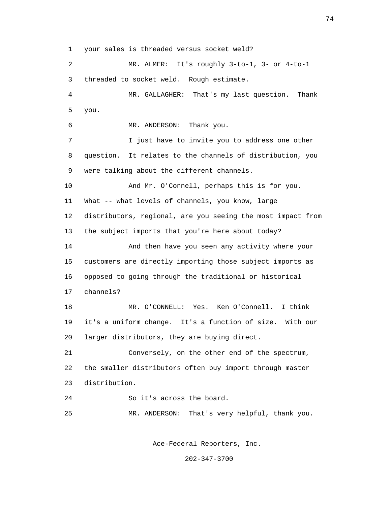1 your sales is threaded versus socket weld?

 2 MR. ALMER: It's roughly 3-to-1, 3- or 4-to-1 3 threaded to socket weld. Rough estimate. 4 MR. GALLAGHER: That's my last question. Thank 5 you. 6 MR. ANDERSON: Thank you. 7 I just have to invite you to address one other 8 question. It relates to the channels of distribution, you 9 were talking about the different channels. 10 And Mr. O'Connell, perhaps this is for you. 11 What -- what levels of channels, you know, large 12 distributors, regional, are you seeing the most impact from 13 the subject imports that you're here about today? 14 And then have you seen any activity where your 15 customers are directly importing those subject imports as 16 opposed to going through the traditional or historical 17 channels? 18 MR. O'CONNELL: Yes. Ken O'Connell. I think 19 it's a uniform change. It's a function of size. With our 20 larger distributors, they are buying direct. 21 Conversely, on the other end of the spectrum, 22 the smaller distributors often buy import through master 23 distribution. 24 So it's across the board. 25 MR. ANDERSON: That's very helpful, thank you.

Ace-Federal Reporters, Inc.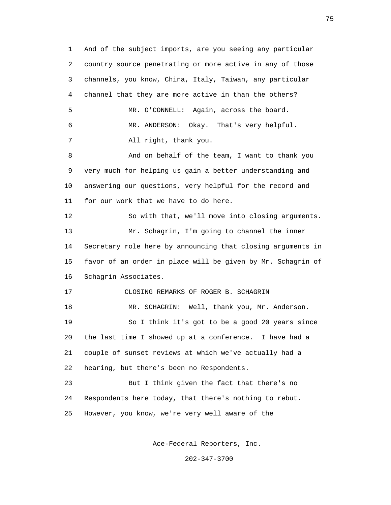1 And of the subject imports, are you seeing any particular 2 country source penetrating or more active in any of those 3 channels, you know, China, Italy, Taiwan, any particular 4 channel that they are more active in than the others? 5 MR. O'CONNELL: Again, across the board. 6 MR. ANDERSON: Okay. That's very helpful. 7 All right, thank you. 8 And on behalf of the team, I want to thank you 9 very much for helping us gain a better understanding and 10 answering our questions, very helpful for the record and 11 for our work that we have to do here. 12 So with that, we'll move into closing arguments. 13 Mr. Schagrin, I'm going to channel the inner 14 Secretary role here by announcing that closing arguments in 15 favor of an order in place will be given by Mr. Schagrin of 16 Schagrin Associates. 17 CLOSING REMARKS OF ROGER B. SCHAGRIN 18 MR. SCHAGRIN: Well, thank you, Mr. Anderson. 19 So I think it's got to be a good 20 years since 20 the last time I showed up at a conference. I have had a 21 couple of sunset reviews at which we've actually had a 22 hearing, but there's been no Respondents. 23 But I think given the fact that there's no 24 Respondents here today, that there's nothing to rebut. 25 However, you know, we're very well aware of the

Ace-Federal Reporters, Inc.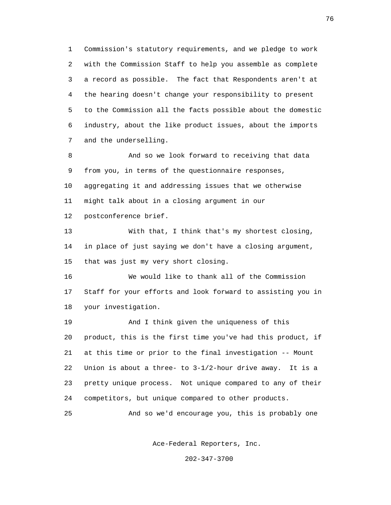1 Commission's statutory requirements, and we pledge to work 2 with the Commission Staff to help you assemble as complete 3 a record as possible. The fact that Respondents aren't at 4 the hearing doesn't change your responsibility to present 5 to the Commission all the facts possible about the domestic 6 industry, about the like product issues, about the imports 7 and the underselling.

 8 And so we look forward to receiving that data 9 from you, in terms of the questionnaire responses, 10 aggregating it and addressing issues that we otherwise 11 might talk about in a closing argument in our 12 postconference brief.

 13 With that, I think that's my shortest closing, 14 in place of just saying we don't have a closing argument, 15 that was just my very short closing.

 16 We would like to thank all of the Commission 17 Staff for your efforts and look forward to assisting you in 18 your investigation.

 19 And I think given the uniqueness of this 20 product, this is the first time you've had this product, if 21 at this time or prior to the final investigation -- Mount 22 Union is about a three- to 3-1/2-hour drive away. It is a 23 pretty unique process. Not unique compared to any of their 24 competitors, but unique compared to other products.

25 And so we'd encourage you, this is probably one

Ace-Federal Reporters, Inc.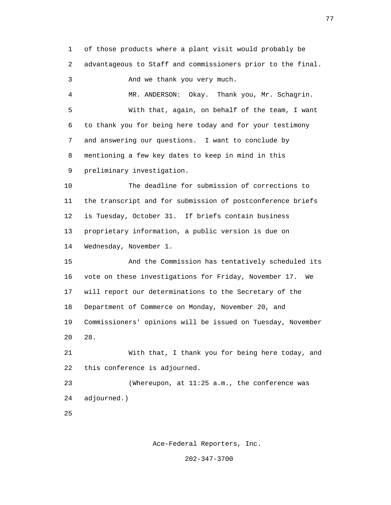1 of those products where a plant visit would probably be 2 advantageous to Staff and commissioners prior to the final. 3 And we thank you very much. 4 MR. ANDERSON: Okay. Thank you, Mr. Schagrin. 5 With that, again, on behalf of the team, I want 6 to thank you for being here today and for your testimony 7 and answering our questions. I want to conclude by

8 mentioning a few key dates to keep in mind in this

9 preliminary investigation.

 10 The deadline for submission of corrections to 11 the transcript and for submission of postconference briefs 12 is Tuesday, October 31. If briefs contain business 13 proprietary information, a public version is due on 14 Wednesday, November 1.

 15 And the Commission has tentatively scheduled its 16 vote on these investigations for Friday, November 17. We 17 will report our determinations to the Secretary of the 18 Department of Commerce on Monday, November 20, and 19 Commissioners' opinions will be issued on Tuesday, November  $20 \t 28.$ 

> 21 With that, I thank you for being here today, and 22 this conference is adjourned.

 23 (Whereupon, at 11:25 a.m., the conference was 24 adjourned.)

<u>25</u>

Ace-Federal Reporters, Inc.